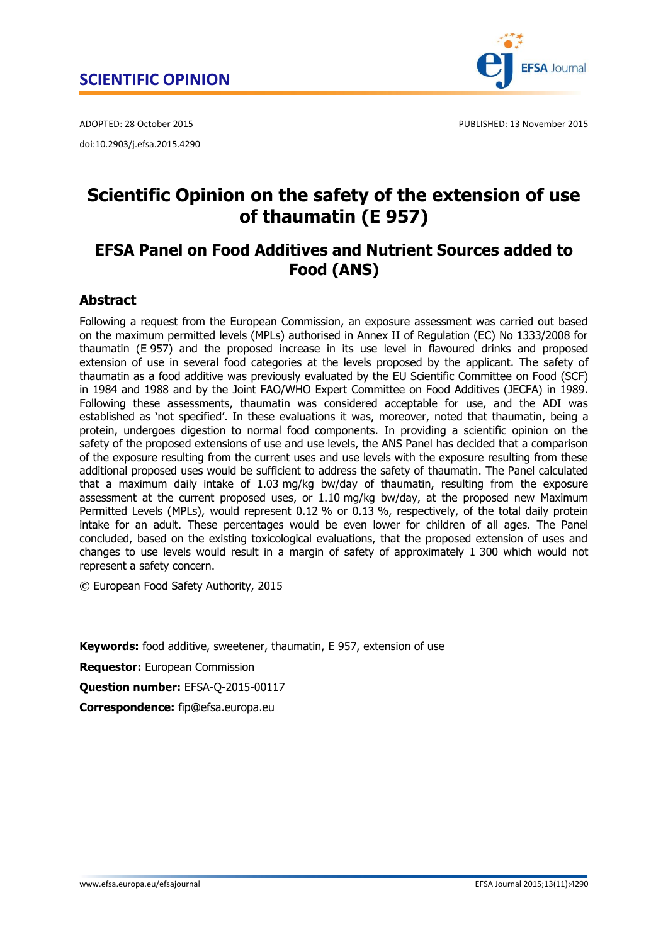doi:10.2903/j.efsa.2015.4290



ADOPTED: 28 October 2015 PUBLISHED: 13 November 2015

# **Scientific Opinion on the safety of the extension of use of thaumatin (E 957)**

## **EFSA Panel on Food Additives and Nutrient Sources added to Food (ANS)**

## <span id="page-0-0"></span>**Abstract**

Following a request from the European Commission, an exposure assessment was carried out based on the maximum permitted levels (MPLs) authorised in Annex II of Regulation (EC) No 1333/2008 for thaumatin (E 957) and the proposed increase in its use level in flavoured drinks and proposed extension of use in several food categories at the levels proposed by the applicant. The safety of thaumatin as a food additive was previously evaluated by the EU Scientific Committee on Food (SCF) in 1984 and 1988 and by the Joint FAO/WHO Expert Committee on Food Additives (JECFA) in 1989. Following these assessments, thaumatin was considered acceptable for use, and the ADI was established as 'not specified'. In these evaluations it was, moreover, noted that thaumatin, being a protein, undergoes digestion to normal food components. In providing a scientific opinion on the safety of the proposed extensions of use and use levels, the ANS Panel has decided that a comparison of the exposure resulting from the current uses and use levels with the exposure resulting from these additional proposed uses would be sufficient to address the safety of thaumatin. The Panel calculated that a maximum daily intake of 1.03 mg/kg bw/day of thaumatin, resulting from the exposure assessment at the current proposed uses, or 1.10 mg/kg bw/day, at the proposed new Maximum Permitted Levels (MPLs), would represent 0.12 % or 0.13 %, respectively, of the total daily protein intake for an adult. These percentages would be even lower for children of all ages. The Panel concluded, based on the existing toxicological evaluations, that the proposed extension of uses and changes to use levels would result in a margin of safety of approximately 1 300 which would not represent a safety concern.

© European Food Safety Authority, 2015

**Keywords:** food additive, sweetener, thaumatin, E 957, extension of use

**Requestor:** European Commission

**Question number:** EFSA-Q-2015-00117

**Correspondence:** fip@efsa.europa.eu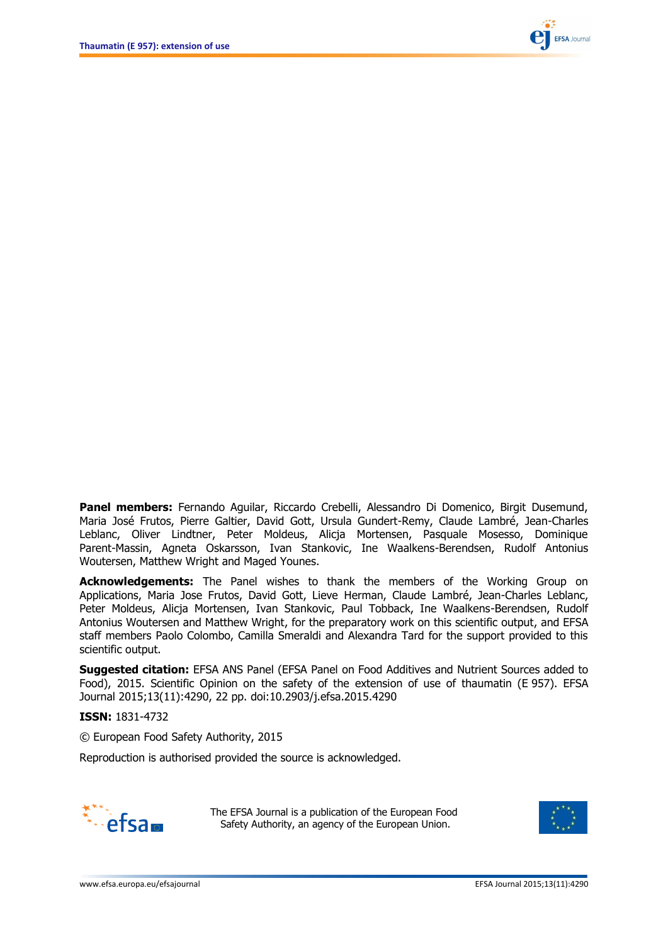

**Panel members:** Fernando Aguilar, Riccardo Crebelli, Alessandro Di Domenico, Birgit Dusemund, Maria José Frutos, Pierre Galtier, David Gott, Ursula Gundert-Remy, Claude Lambré, Jean-Charles Leblanc, Oliver Lindtner, Peter Moldeus, Alicja Mortensen, Pasquale Mosesso, Dominique Parent-Massin, Agneta Oskarsson, Ivan Stankovic, Ine Waalkens-Berendsen, Rudolf Antonius Woutersen, Matthew Wright and Maged Younes.

**Acknowledgements:** The Panel wishes to thank the members of the Working Group on Applications, Maria Jose Frutos, David Gott, Lieve Herman, Claude Lambré, Jean-Charles Leblanc, Peter Moldeus, Alicja Mortensen, Ivan Stankovic, Paul Tobback, Ine Waalkens-Berendsen, Rudolf Antonius Woutersen and Matthew Wright, for the preparatory work on this scientific output, and EFSA staff members Paolo Colombo, Camilla Smeraldi and Alexandra Tard for the support provided to this scientific output.

**Suggested citation:** EFSA ANS Panel (EFSA Panel on Food Additives and Nutrient Sources added to Food), 2015. Scientific Opinion on the safety of the extension of use of thaumatin (E 957). EFSA Journal 2015;13(11):4290, 22 pp. doi:10.2903/j.efsa.2015.4290

**ISSN:** 1831-4732

© European Food Safety Authority, 2015

Reproduction is authorised provided the source is acknowledged.



The EFSA Journal is a publication of the European Food Safety Authority, an agency of the European Union.

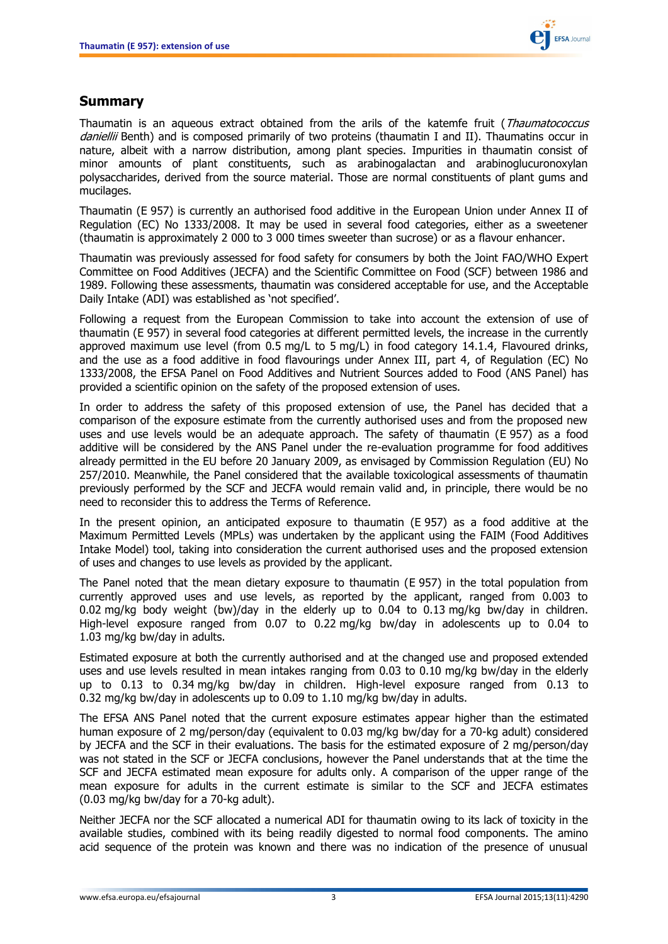

## <span id="page-2-0"></span>**Summary**

Thaumatin is an aqueous extract obtained from the arils of the katemfe fruit (Thaumatococcus daniellii Benth) and is composed primarily of two proteins (thaumatin I and II). Thaumatins occur in nature, albeit with a narrow distribution, among plant species. Impurities in thaumatin consist of minor amounts of plant constituents, such as arabinogalactan and arabinoglucuronoxylan polysaccharides, derived from the source material. Those are normal constituents of plant gums and mucilages.

Thaumatin (E 957) is currently an authorised food additive in the European Union under Annex II of Regulation (EC) No 1333/2008. It may be used in several food categories, either as a sweetener (thaumatin is approximately 2 000 to 3 000 times sweeter than sucrose) or as a flavour enhancer.

Thaumatin was previously assessed for food safety for consumers by both the Joint FAO/WHO Expert Committee on Food Additives (JECFA) and the Scientific Committee on Food (SCF) between 1986 and 1989. Following these assessments, thaumatin was considered acceptable for use, and the Acceptable Daily Intake (ADI) was established as 'not specified'.

Following a request from the European Commission to take into account the extension of use of thaumatin (E 957) in several food categories at different permitted levels, the increase in the currently approved maximum use level (from 0.5 mg/L to 5 mg/L) in food category 14.1.4, Flavoured drinks, and the use as a food additive in food flavourings under Annex III, part 4, of Regulation (EC) No 1333/2008, the EFSA Panel on Food Additives and Nutrient Sources added to Food (ANS Panel) has provided a scientific opinion on the safety of the proposed extension of uses.

In order to address the safety of this proposed extension of use, the Panel has decided that a comparison of the exposure estimate from the currently authorised uses and from the proposed new uses and use levels would be an adequate approach. The safety of thaumatin (E 957) as a food additive will be considered by the ANS Panel under the re-evaluation programme for food additives already permitted in the EU before 20 January 2009, as envisaged by Commission Regulation (EU) No 257/2010. Meanwhile, the Panel considered that the available toxicological assessments of thaumatin previously performed by the SCF and JECFA would remain valid and, in principle, there would be no need to reconsider this to address the Terms of Reference.

In the present opinion, an anticipated exposure to thaumatin (E 957) as a food additive at the Maximum Permitted Levels (MPLs) was undertaken by the applicant using the FAIM (Food Additives Intake Model) tool, taking into consideration the current authorised uses and the proposed extension of uses and changes to use levels as provided by the applicant.

The Panel noted that the mean dietary exposure to thaumatin (E 957) in the total population from currently approved uses and use levels, as reported by the applicant, ranged from 0.003 to 0.02 mg/kg body weight (bw)/day in the elderly up to 0.04 to 0.13 mg/kg bw/day in children. High-level exposure ranged from 0.07 to 0.22 mg/kg bw/day in adolescents up to 0.04 to 1.03 mg/kg bw/day in adults.

Estimated exposure at both the currently authorised and at the changed use and proposed extended uses and use levels resulted in mean intakes ranging from 0.03 to 0.10 mg/kg bw/day in the elderly up to 0.13 to 0.34 mg/kg bw/day in children. High-level exposure ranged from 0.13 to 0.32 mg/kg bw/day in adolescents up to 0.09 to 1.10 mg/kg bw/day in adults.

The EFSA ANS Panel noted that the current exposure estimates appear higher than the estimated human exposure of 2 mg/person/day (equivalent to 0.03 mg/kg bw/day for a 70-kg adult) considered by JECFA and the SCF in their evaluations. The basis for the estimated exposure of 2 mg/person/day was not stated in the SCF or JECFA conclusions, however the Panel understands that at the time the SCF and JECFA estimated mean exposure for adults only. A comparison of the upper range of the mean exposure for adults in the current estimate is similar to the SCF and JECFA estimates (0.03 mg/kg bw/day for a 70-kg adult).

Neither JECFA nor the SCF allocated a numerical ADI for thaumatin owing to its lack of toxicity in the available studies, combined with its being readily digested to normal food components. The amino acid sequence of the protein was known and there was no indication of the presence of unusual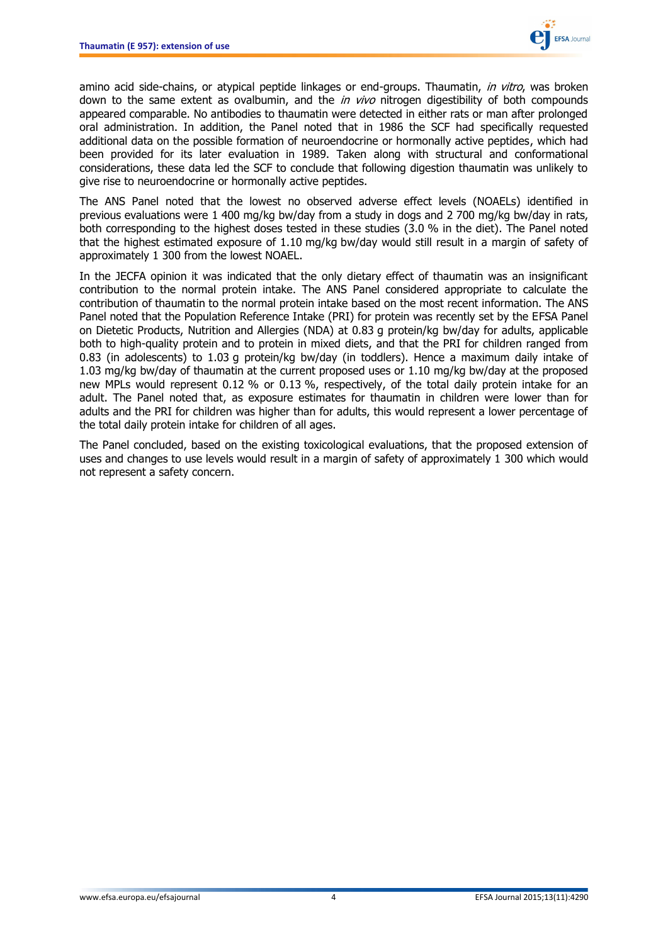

amino acid side-chains, or atypical peptide linkages or end-groups. Thaumatin, in vitro, was broken down to the same extent as ovalbumin, and the  $in$  vivo nitrogen digestibility of both compounds appeared comparable. No antibodies to thaumatin were detected in either rats or man after prolonged oral administration. In addition, the Panel noted that in 1986 the SCF had specifically requested additional data on the possible formation of neuroendocrine or hormonally active peptides, which had been provided for its later evaluation in 1989. Taken along with structural and conformational considerations, these data led the SCF to conclude that following digestion thaumatin was unlikely to give rise to neuroendocrine or hormonally active peptides.

The ANS Panel noted that the lowest no observed adverse effect levels (NOAELs) identified in previous evaluations were 1 400 mg/kg bw/day from a study in dogs and 2 700 mg/kg bw/day in rats, both corresponding to the highest doses tested in these studies (3.0 % in the diet). The Panel noted that the highest estimated exposure of 1.10 mg/kg bw/day would still result in a margin of safety of approximately 1 300 from the lowest NOAEL.

In the JECFA opinion it was indicated that the only dietary effect of thaumatin was an insignificant contribution to the normal protein intake. The ANS Panel considered appropriate to calculate the contribution of thaumatin to the normal protein intake based on the most recent information. The ANS Panel noted that the Population Reference Intake (PRI) for protein was recently set by the EFSA Panel on Dietetic Products, Nutrition and Allergies (NDA) at 0.83 g protein/kg bw/day for adults, applicable both to high-quality protein and to protein in mixed diets, and that the PRI for children ranged from 0.83 (in adolescents) to 1.03 g protein/kg bw/day (in toddlers). Hence a maximum daily intake of 1.03 mg/kg bw/day of thaumatin at the current proposed uses or 1.10 mg/kg bw/day at the proposed new MPLs would represent 0.12 % or 0.13 %, respectively, of the total daily protein intake for an adult. The Panel noted that, as exposure estimates for thaumatin in children were lower than for adults and the PRI for children was higher than for adults, this would represent a lower percentage of the total daily protein intake for children of all ages.

The Panel concluded, based on the existing toxicological evaluations, that the proposed extension of uses and changes to use levels would result in a margin of safety of approximately 1 300 which would not represent a safety concern.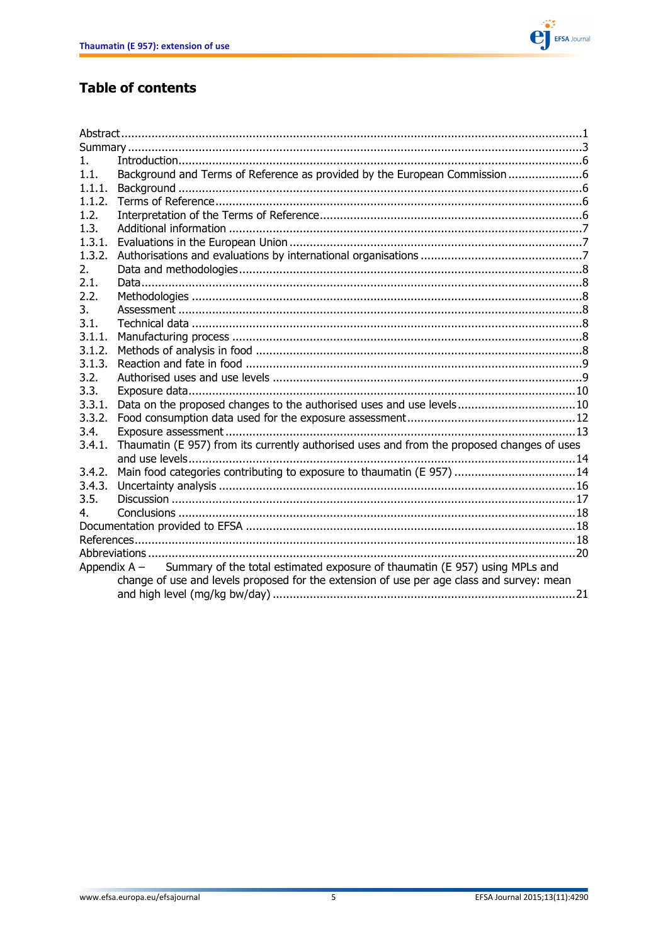

## **Table of contents**

| Background and Terms of Reference as provided by the European Commission6                                                                      |
|------------------------------------------------------------------------------------------------------------------------------------------------|
|                                                                                                                                                |
|                                                                                                                                                |
|                                                                                                                                                |
|                                                                                                                                                |
|                                                                                                                                                |
|                                                                                                                                                |
|                                                                                                                                                |
|                                                                                                                                                |
|                                                                                                                                                |
|                                                                                                                                                |
|                                                                                                                                                |
|                                                                                                                                                |
|                                                                                                                                                |
|                                                                                                                                                |
|                                                                                                                                                |
|                                                                                                                                                |
|                                                                                                                                                |
|                                                                                                                                                |
|                                                                                                                                                |
|                                                                                                                                                |
|                                                                                                                                                |
|                                                                                                                                                |
|                                                                                                                                                |
|                                                                                                                                                |
|                                                                                                                                                |
|                                                                                                                                                |
|                                                                                                                                                |
|                                                                                                                                                |
|                                                                                                                                                |
|                                                                                                                                                |
|                                                                                                                                                |
| Data on the proposed changes to the authorised uses and use levels10<br>Main food categories contributing to exposure to thaumatin (E 957)  14 |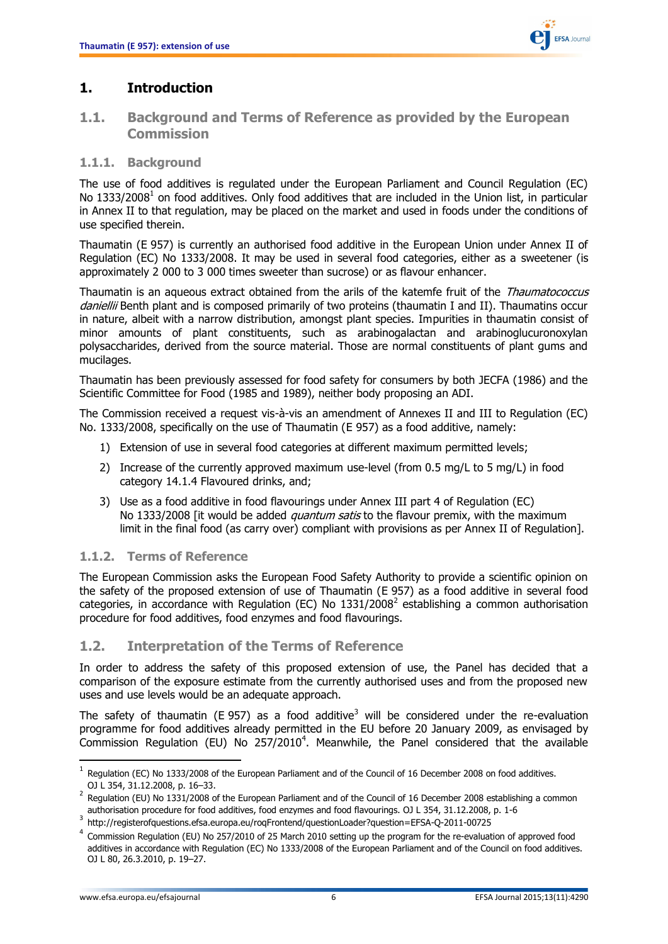

## <span id="page-5-0"></span>**1. Introduction**

### <span id="page-5-1"></span>**1.1. Background and Terms of Reference as provided by the European Commission**

#### <span id="page-5-2"></span>**1.1.1. Background**

The use of food additives is regulated under the European Parliament and Council Regulation (EC) No 1333/2008<sup>1</sup> on food additives. Only food additives that are included in the Union list, in particular in Annex II to that regulation, may be placed on the market and used in foods under the conditions of use specified therein.

Thaumatin (E 957) is currently an authorised food additive in the European Union under Annex II of Regulation (EC) No 1333/2008. It may be used in several food categories, either as a sweetener (is approximately 2 000 to 3 000 times sweeter than sucrose) or as flavour enhancer.

Thaumatin is an aqueous extract obtained from the arils of the katemfe fruit of the *Thaumatococcus* daniellii Benth plant and is composed primarily of two proteins (thaumatin I and II). Thaumatins occur in nature, albeit with a narrow distribution, amongst plant species. Impurities in thaumatin consist of minor amounts of plant constituents, such as arabinogalactan and arabinoglucuronoxylan polysaccharides, derived from the source material. Those are normal constituents of plant gums and mucilages.

Thaumatin has been previously assessed for food safety for consumers by both JECFA (1986) and the Scientific Committee for Food (1985 and 1989), neither body proposing an ADI.

The Commission received a request vis-à-vis an amendment of Annexes II and III to Regulation (EC) No. 1333/2008, specifically on the use of Thaumatin (E 957) as a food additive, namely:

- 1) Extension of use in several food categories at different maximum permitted levels;
- 2) Increase of the currently approved maximum use-level (from 0.5 mg/L to 5 mg/L) in food category 14.1.4 Flavoured drinks, and;
- 3) Use as a food additive in food flavourings under Annex III part 4 of Regulation (EC) No 1333/2008 [it would be added *quantum satis* to the flavour premix, with the maximum limit in the final food (as carry over) compliant with provisions as per Annex II of Regulation].

#### <span id="page-5-3"></span>**1.1.2. Terms of Reference**

The European Commission asks the European Food Safety Authority to provide a scientific opinion on the safety of the proposed extension of use of Thaumatin (E 957) as a food additive in several food categories, in accordance with Regulation (EC) No 1331/2008<sup>2</sup> establishing a common authorisation procedure for food additives, food enzymes and food flavourings.

#### <span id="page-5-4"></span>**1.2. Interpretation of the Terms of Reference**

In order to address the safety of this proposed extension of use, the Panel has decided that a comparison of the exposure estimate from the currently authorised uses and from the proposed new uses and use levels would be an adequate approach.

The safety of thaumatin (E 957) as a food additive<sup>3</sup> will be considered under the re-evaluation programme for food additives already permitted in the EU before 20 January 2009, as envisaged by Commission Regulation (EU) No  $257/2010^4$ . Meanwhile, the Panel considered that the available

 $\overline{\phantom{a}}$ 

 $^1$  Regulation (EC) No 1333/2008 of the European Parliament and of the Council of 16 December 2008 on food additives. OJ L 354, 31.12.2008, p. 16–33.

<sup>2</sup> Regulation (EU) No 1331/2008 of the European Parliament and of the Council of 16 December 2008 establishing a common authorisation procedure for food additives, food enzymes and food flavourings. OJ L 354, 31.12.2008, p. 1-6 3

http://registerofquestions.efsa.europa.eu/roqFrontend/questionLoader?question=EFSA-Q-2011-00725

<sup>4</sup> Commission Regulation (EU) No 257/2010 of 25 March 2010 setting up the program for the re-evaluation of approved food additives in accordance with Regulation (EC) No 1333/2008 of the European Parliament and of the Council on food additives. OJ L 80, 26.3.2010, p. 19–27.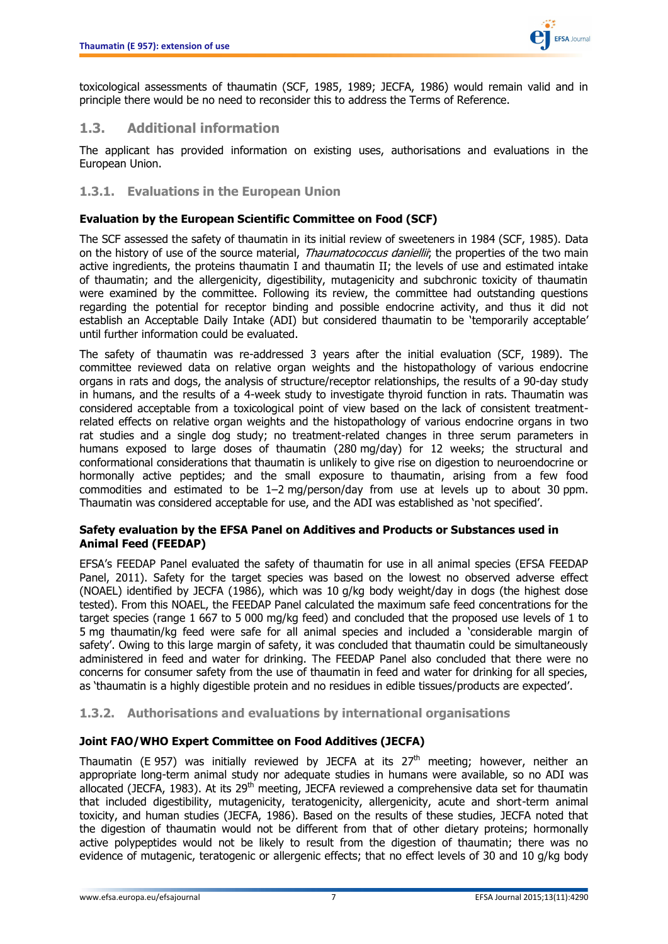

toxicological assessments of thaumatin (SCF, 1985, 1989; JECFA, 1986) would remain valid and in principle there would be no need to reconsider this to address the Terms of Reference.

## <span id="page-6-0"></span>**1.3. Additional information**

The applicant has provided information on existing uses, authorisations and evaluations in the European Union.

#### <span id="page-6-1"></span>**1.3.1. Evaluations in the European Union**

#### **Evaluation by the European Scientific Committee on Food (SCF)**

The SCF assessed the safety of thaumatin in its initial review of sweeteners in 1984 (SCF, 1985). Data on the history of use of the source material, *Thaumatococcus daniellii*; the properties of the two main active ingredients, the proteins thaumatin I and thaumatin II; the levels of use and estimated intake of thaumatin; and the allergenicity, digestibility, mutagenicity and subchronic toxicity of thaumatin were examined by the committee. Following its review, the committee had outstanding questions regarding the potential for receptor binding and possible endocrine activity, and thus it did not establish an Acceptable Daily Intake (ADI) but considered thaumatin to be 'temporarily acceptable' until further information could be evaluated.

The safety of thaumatin was re-addressed 3 years after the initial evaluation (SCF, 1989). The committee reviewed data on relative organ weights and the histopathology of various endocrine organs in rats and dogs, the analysis of structure/receptor relationships, the results of a 90-day study in humans, and the results of a 4-week study to investigate thyroid function in rats. Thaumatin was considered acceptable from a toxicological point of view based on the lack of consistent treatmentrelated effects on relative organ weights and the histopathology of various endocrine organs in two rat studies and a single dog study; no treatment-related changes in three serum parameters in humans exposed to large doses of thaumatin (280 mg/day) for 12 weeks; the structural and conformational considerations that thaumatin is unlikely to give rise on digestion to neuroendocrine or hormonally active peptides; and the small exposure to thaumatin, arising from a few food commodities and estimated to be 1–2 mg/person/day from use at levels up to about 30 ppm. Thaumatin was considered acceptable for use, and the ADI was established as 'not specified'.

#### **Safety evaluation by the EFSA Panel on Additives and Products or Substances used in Animal Feed (FEEDAP)**

EFSA's FEEDAP Panel evaluated the safety of thaumatin for use in all animal species (EFSA FEEDAP Panel, 2011). Safety for the target species was based on the lowest no observed adverse effect (NOAEL) identified by JECFA (1986), which was 10 g/kg body weight/day in dogs (the highest dose tested). From this NOAEL, the FEEDAP Panel calculated the maximum safe feed concentrations for the target species (range 1 667 to 5 000 mg/kg feed) and concluded that the proposed use levels of 1 to 5 mg thaumatin/kg feed were safe for all animal species and included a 'considerable margin of safety'. Owing to this large margin of safety, it was concluded that thaumatin could be simultaneously administered in feed and water for drinking. The FEEDAP Panel also concluded that there were no concerns for consumer safety from the use of thaumatin in feed and water for drinking for all species, as 'thaumatin is a highly digestible protein and no residues in edible tissues/products are expected'.

#### <span id="page-6-2"></span>**1.3.2. Authorisations and evaluations by international organisations**

#### **Joint FAO/WHO Expert Committee on Food Additives (JECFA)**

Thaumatin (E 957) was initially reviewed by JECFA at its  $27<sup>th</sup>$  meeting; however, neither an appropriate long-term animal study nor adequate studies in humans were available, so no ADI was allocated (JECFA, 1983). At its  $29<sup>th</sup>$  meeting, JECFA reviewed a comprehensive data set for thaumatin that included digestibility, mutagenicity, teratogenicity, allergenicity, acute and short-term animal toxicity, and human studies (JECFA, 1986). Based on the results of these studies, JECFA noted that the digestion of thaumatin would not be different from that of other dietary proteins; hormonally active polypeptides would not be likely to result from the digestion of thaumatin; there was no evidence of mutagenic, teratogenic or allergenic effects; that no effect levels of 30 and 10 g/kg body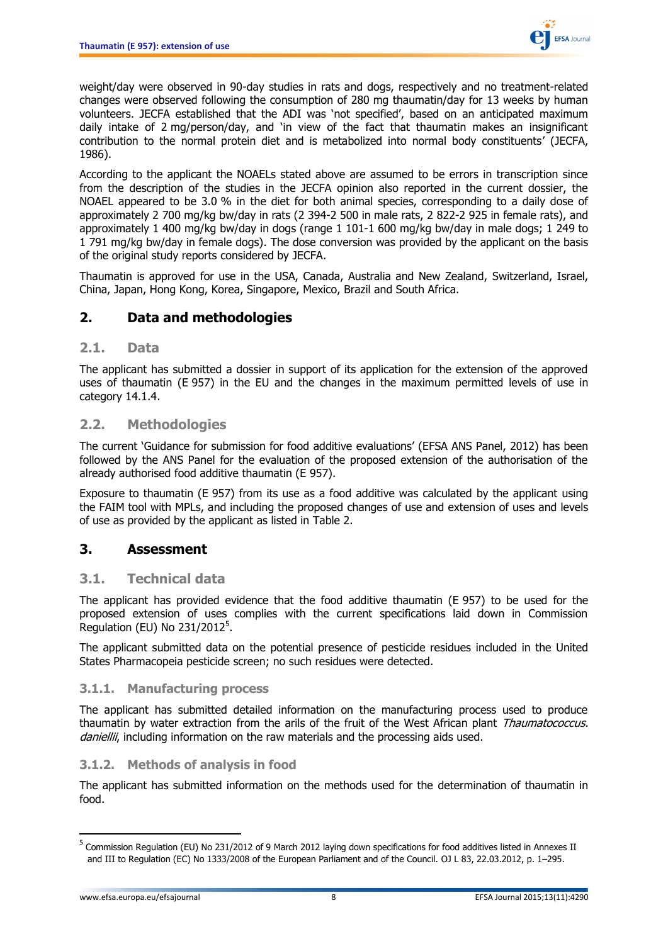

weight/day were observed in 90-day studies in rats and dogs, respectively and no treatment-related changes were observed following the consumption of 280 mg thaumatin/day for 13 weeks by human volunteers. JECFA established that the ADI was 'not specified', based on an anticipated maximum daily intake of 2 mg/person/day, and 'in view of the fact that thaumatin makes an insignificant contribution to the normal protein diet and is metabolized into normal body constituents' (JECFA, 1986).

According to the applicant the NOAELs stated above are assumed to be errors in transcription since from the description of the studies in the JECFA opinion also reported in the current dossier, the NOAEL appeared to be 3.0 % in the diet for both animal species, corresponding to a daily dose of approximately 2 700 mg/kg bw/day in rats (2 394-2 500 in male rats, 2 822-2 925 in female rats), and approximately 1 400 mg/kg bw/day in dogs (range 1 101-1 600 mg/kg bw/day in male dogs; 1 249 to 1 791 mg/kg bw/day in female dogs). The dose conversion was provided by the applicant on the basis of the original study reports considered by JECFA.

Thaumatin is approved for use in the USA, Canada, Australia and New Zealand, Switzerland, Israel, China, Japan, Hong Kong, Korea, Singapore, Mexico, Brazil and South Africa.

## <span id="page-7-0"></span>**2. Data and methodologies**

#### <span id="page-7-1"></span>**2.1. Data**

The applicant has submitted a dossier in support of its application for the extension of the approved uses of thaumatin (E 957) in the EU and the changes in the maximum permitted levels of use in category 14.1.4.

#### <span id="page-7-2"></span>**2.2. Methodologies**

The current 'Guidance for submission for food additive evaluations' (EFSA ANS Panel, 2012) has been followed by the ANS Panel for the evaluation of the proposed extension of the authorisation of the already authorised food additive thaumatin (E 957).

Exposure to thaumatin (E 957) from its use as a food additive was calculated by the applicant using the FAIM tool with MPLs, and including the proposed changes of use and extension of uses and levels of use as provided by the applicant as listed in Table 2.

#### <span id="page-7-3"></span>**3. Assessment**

#### <span id="page-7-4"></span>**3.1. Technical data**

The applicant has provided evidence that the food additive thaumatin (E 957) to be used for the proposed extension of uses complies with the current specifications laid down in Commission Regulation (EU) No 231/2012 $^5$ .

The applicant submitted data on the potential presence of pesticide residues included in the United States Pharmacopeia pesticide screen; no such residues were detected.

#### <span id="page-7-5"></span>**3.1.1. Manufacturing process**

The applicant has submitted detailed information on the manufacturing process used to produce thaumatin by water extraction from the arils of the fruit of the West African plant Thaumatococcus. daniellii, including information on the raw materials and the processing aids used.

#### <span id="page-7-6"></span>**3.1.2. Methods of analysis in food**

The applicant has submitted information on the methods used for the determination of thaumatin in food.

 5 Commission Regulation (EU) No 231/2012 of 9 March 2012 laying down specifications for food additives listed in Annexes II and III to Regulation (EC) No 1333/2008 of the European Parliament and of the Council. OJ L 83, 22.03.2012, p. 1–295.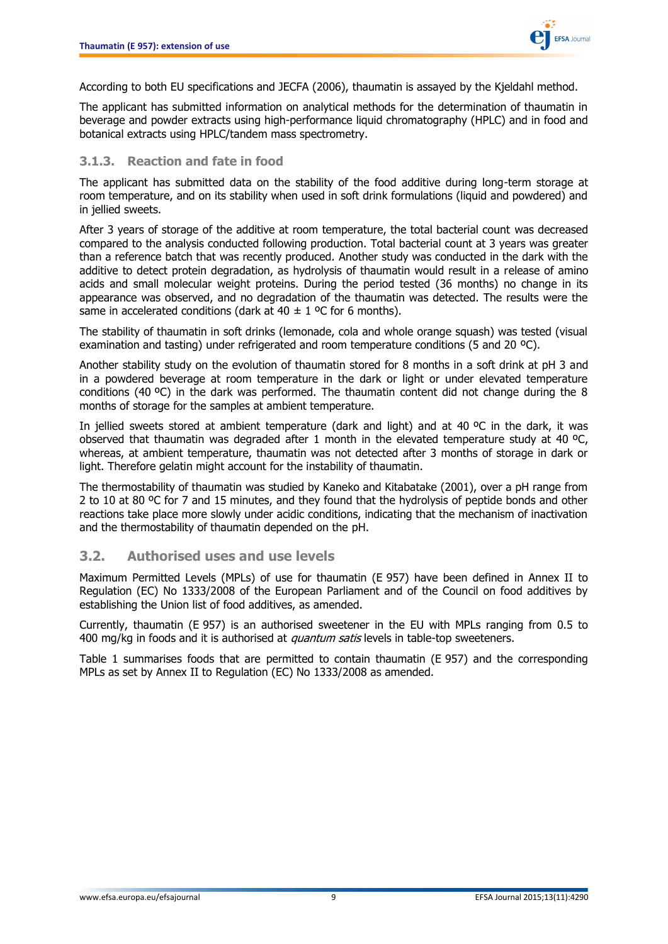

According to both EU specifications and JECFA (2006), thaumatin is assayed by the Kjeldahl method.

The applicant has submitted information on analytical methods for the determination of thaumatin in beverage and powder extracts using high-performance liquid chromatography (HPLC) and in food and botanical extracts using HPLC/tandem mass spectrometry.

#### <span id="page-8-0"></span>**3.1.3. Reaction and fate in food**

The applicant has submitted data on the stability of the food additive during long-term storage at room temperature, and on its stability when used in soft drink formulations (liquid and powdered) and in jellied sweets.

After 3 years of storage of the additive at room temperature, the total bacterial count was decreased compared to the analysis conducted following production. Total bacterial count at 3 years was greater than a reference batch that was recently produced. Another study was conducted in the dark with the additive to detect protein degradation, as hydrolysis of thaumatin would result in a release of amino acids and small molecular weight proteins. During the period tested (36 months) no change in its appearance was observed, and no degradation of the thaumatin was detected. The results were the same in accelerated conditions (dark at  $40 \pm 1$  °C for 6 months).

The stability of thaumatin in soft drinks (lemonade, cola and whole orange squash) was tested (visual examination and tasting) under refrigerated and room temperature conditions (5 and 20 ºC).

Another stability study on the evolution of thaumatin stored for 8 months in a soft drink at pH 3 and in a powdered beverage at room temperature in the dark or light or under elevated temperature conditions (40 ºC) in the dark was performed. The thaumatin content did not change during the 8 months of storage for the samples at ambient temperature.

In jellied sweets stored at ambient temperature (dark and light) and at 40 ºC in the dark, it was observed that thaumatin was degraded after 1 month in the elevated temperature study at 40 °C, whereas, at ambient temperature, thaumatin was not detected after 3 months of storage in dark or light. Therefore gelatin might account for the instability of thaumatin.

The thermostability of thaumatin was studied by Kaneko and Kitabatake (2001), over a pH range from 2 to 10 at 80 °C for 7 and 15 minutes, and they found that the hydrolysis of peptide bonds and other reactions take place more slowly under acidic conditions, indicating that the mechanism of inactivation and the thermostability of thaumatin depended on the pH.

#### <span id="page-8-1"></span>**3.2. Authorised uses and use levels**

Maximum Permitted Levels (MPLs) of use for thaumatin (E 957) have been defined in Annex II to Regulation (EC) No 1333/2008 of the European Parliament and of the Council on food additives by establishing the Union list of food additives, as amended.

Currently, thaumatin (E 957) is an authorised sweetener in the EU with MPLs ranging from 0.5 to 400 mg/kg in foods and it is authorised at *quantum satis* levels in table-top sweeteners.

Table 1 summarises foods that are permitted to contain thaumatin (E 957) and the corresponding MPLs as set by Annex II to Regulation (EC) No 1333/2008 as amended.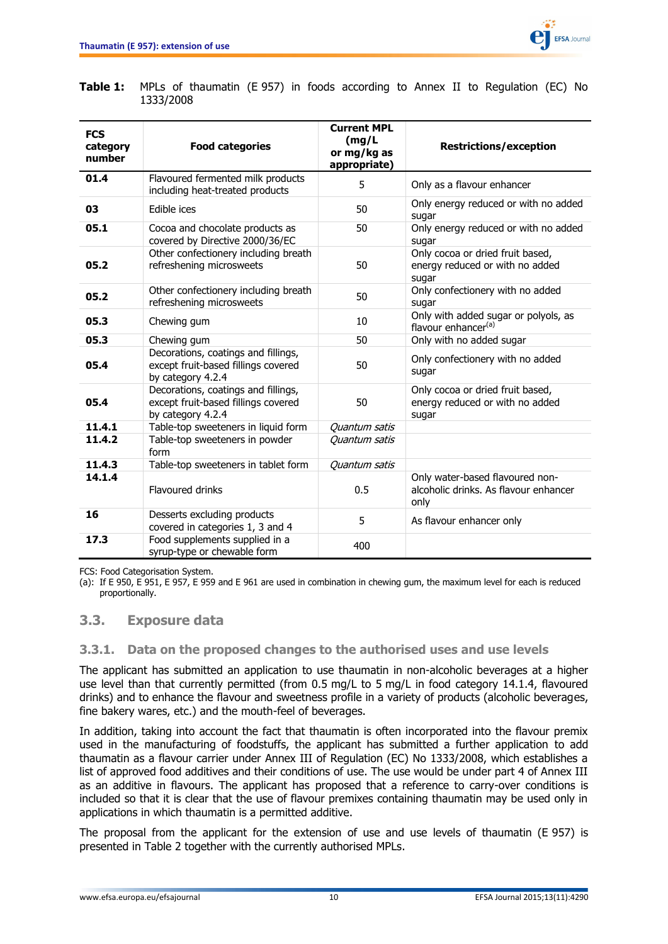

| <b>FCS</b><br>category<br>number | <b>Food categories</b>                                                                          | <b>Current MPL</b><br>(mg/L)<br>or mg/kg as<br>appropriate) | <b>Restrictions/exception</b>                                                    |
|----------------------------------|-------------------------------------------------------------------------------------------------|-------------------------------------------------------------|----------------------------------------------------------------------------------|
| 01.4                             | Flavoured fermented milk products<br>including heat-treated products                            | 5                                                           | Only as a flavour enhancer                                                       |
| 03                               | Edible ices                                                                                     | 50                                                          | Only energy reduced or with no added<br>sugar                                    |
| 05.1                             | Cocoa and chocolate products as<br>covered by Directive 2000/36/EC                              | 50                                                          | Only energy reduced or with no added<br>sugar                                    |
| 05.2                             | Other confectionery including breath<br>refreshening microsweets                                | 50                                                          | Only cocoa or dried fruit based,<br>energy reduced or with no added<br>sugar     |
| 05.2                             | Other confectionery including breath<br>refreshening microsweets                                | 50                                                          | Only confectionery with no added<br>sugar                                        |
| 05.3                             | Chewing gum                                                                                     | 10                                                          | Only with added sugar or polyols, as<br>flavour enhancer <sup>(a)</sup>          |
| 05.3                             | Chewing gum                                                                                     | 50                                                          | Only with no added sugar                                                         |
| 05.4                             | Decorations, coatings and fillings,<br>except fruit-based fillings covered<br>by category 4.2.4 | 50                                                          | Only confectionery with no added<br>sugar                                        |
| 05.4                             | Decorations, coatings and fillings,<br>except fruit-based fillings covered<br>by category 4.2.4 | 50                                                          | Only cocoa or dried fruit based,<br>energy reduced or with no added<br>sugar     |
| 11.4.1                           | Table-top sweeteners in liquid form                                                             | Quantum satis                                               |                                                                                  |
| 11.4.2                           | Table-top sweeteners in powder<br>form                                                          | Quantum satis                                               |                                                                                  |
| 11.4.3                           | Table-top sweeteners in tablet form                                                             | Quantum satis                                               |                                                                                  |
| 14.1.4                           | Flavoured drinks                                                                                | 0.5                                                         | Only water-based flavoured non-<br>alcoholic drinks. As flavour enhancer<br>only |
| 16                               | Desserts excluding products<br>covered in categories 1, 3 and 4                                 | 5                                                           | As flavour enhancer only                                                         |
| 17.3                             | Food supplements supplied in a<br>syrup-type or chewable form                                   | 400                                                         |                                                                                  |

#### **Table 1:** MPLs of thaumatin (E 957) in foods according to Annex II to Regulation (EC) No 1333/2008

FCS: Food Categorisation System.

(a): If E 950, E 951, E 957, E 959 and E 961 are used in combination in chewing gum, the maximum level for each is reduced proportionally.

#### <span id="page-9-0"></span>**3.3. Exposure data**

#### <span id="page-9-1"></span>**3.3.1. Data on the proposed changes to the authorised uses and use levels**

The applicant has submitted an application to use thaumatin in non-alcoholic beverages at a higher use level than that currently permitted (from 0.5 mg/L to 5 mg/L in food category 14.1.4, flavoured drinks) and to enhance the flavour and sweetness profile in a variety of products (alcoholic beverages, fine bakery wares, etc.) and the mouth-feel of beverages.

In addition, taking into account the fact that thaumatin is often incorporated into the flavour premix used in the manufacturing of foodstuffs, the applicant has submitted a further application to add thaumatin as a flavour carrier under Annex III of Regulation (EC) No 1333/2008, which establishes a list of approved food additives and their conditions of use. The use would be under part 4 of Annex III as an additive in flavours. The applicant has proposed that a reference to carry-over conditions is included so that it is clear that the use of flavour premixes containing thaumatin may be used only in applications in which thaumatin is a permitted additive.

The proposal from the applicant for the extension of use and use levels of thaumatin (E 957) is presented in Table 2 together with the currently authorised MPLs.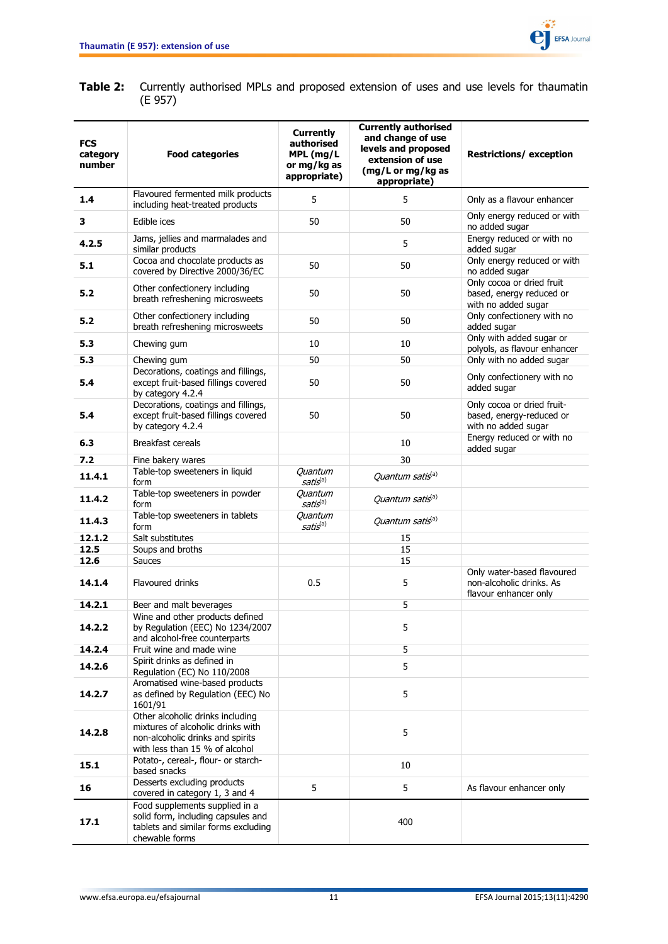

#### **Table 2:** Currently authorised MPLs and proposed extension of uses and use levels for thaumatin (E 957)

| <b>FCS</b><br>category<br>number | <b>Food categories</b>                                                                                                                      | <b>Currently</b><br>authorised<br>MPL (mg/L<br>or mg/kg as<br>appropriate) | <b>Currently authorised</b><br>and change of use<br>levels and proposed<br>extension of use<br>(mg/L or mg/kg as<br>appropriate) | <b>Restrictions/ exception</b>                                                |
|----------------------------------|---------------------------------------------------------------------------------------------------------------------------------------------|----------------------------------------------------------------------------|----------------------------------------------------------------------------------------------------------------------------------|-------------------------------------------------------------------------------|
| 1.4                              | Flavoured fermented milk products<br>including heat-treated products                                                                        | 5                                                                          | 5                                                                                                                                | Only as a flavour enhancer                                                    |
| 3                                | Edible ices                                                                                                                                 | 50                                                                         | 50                                                                                                                               | Only energy reduced or with<br>no added sugar                                 |
| 4.2.5                            | Jams, jellies and marmalades and<br>similar products                                                                                        |                                                                            | 5                                                                                                                                | Energy reduced or with no<br>added sugar                                      |
| 5.1                              | Cocoa and chocolate products as<br>covered by Directive 2000/36/EC                                                                          | 50                                                                         | 50                                                                                                                               | Only energy reduced or with<br>no added sugar                                 |
| 5.2                              | Other confectionery including<br>breath refreshening microsweets                                                                            | 50                                                                         | 50                                                                                                                               | Only cocoa or dried fruit<br>based, energy reduced or<br>with no added sugar  |
| 5.2                              | Other confectionery including<br>breath refreshening microsweets                                                                            | 50                                                                         | 50                                                                                                                               | Only confectionery with no<br>added sugar                                     |
| 5.3                              | Chewing gum                                                                                                                                 | 10                                                                         | 10                                                                                                                               | Only with added sugar or<br>polyols, as flavour enhancer                      |
| 5.3                              | Chewing gum                                                                                                                                 | 50                                                                         | 50                                                                                                                               | Only with no added sugar                                                      |
| 5.4                              | Decorations, coatings and fillings,<br>except fruit-based fillings covered<br>by category 4.2.4                                             | 50                                                                         | 50                                                                                                                               | Only confectionery with no<br>added sugar                                     |
| 5.4                              | Decorations, coatings and fillings,<br>except fruit-based fillings covered<br>by category 4.2.4                                             | 50                                                                         | 50                                                                                                                               | Only cocoa or dried fruit-<br>based, energy-reduced or<br>with no added sugar |
| 6.3                              | <b>Breakfast cereals</b>                                                                                                                    |                                                                            | 10                                                                                                                               | Energy reduced or with no<br>added sugar                                      |
| 7.2                              | Fine bakery wares                                                                                                                           |                                                                            | 30                                                                                                                               |                                                                               |
| 11.4.1                           | Table-top sweeteners in liquid<br>form                                                                                                      | Quantum<br>satis(a)                                                        | Quantum satis <sup>(a)</sup>                                                                                                     |                                                                               |
| 11.4.2                           | Table-top sweeteners in powder<br>form                                                                                                      | <b>Quantum</b><br>satis(a)                                                 | Quantum satis <sup>(a)</sup>                                                                                                     |                                                                               |
| 11.4.3                           | Table-top sweeteners in tablets<br>form                                                                                                     | Quantum<br>satis <sup>(a)</sup>                                            | Quantum satis <sup>(a)</sup>                                                                                                     |                                                                               |
| 12.1.2                           | Salt substitutes                                                                                                                            |                                                                            | 15                                                                                                                               |                                                                               |
| 12.5                             | Soups and broths                                                                                                                            |                                                                            | 15                                                                                                                               |                                                                               |
| 12.6                             | <b>Sauces</b>                                                                                                                               |                                                                            | 15                                                                                                                               | Only water-based flavoured                                                    |
| 14.1.4                           | <b>Flavoured drinks</b>                                                                                                                     | 0.5                                                                        | 5                                                                                                                                | non-alcoholic drinks. As<br>flavour enhancer only                             |
| 14.2.1                           | Beer and malt beverages<br>Wine and other products defined                                                                                  |                                                                            | 5                                                                                                                                |                                                                               |
| 14.2.2                           | by Regulation (EEC) No 1234/2007<br>and alcohol-free counterparts                                                                           |                                                                            | 5                                                                                                                                |                                                                               |
| 14.2.4                           | Fruit wine and made wine                                                                                                                    |                                                                            | 5                                                                                                                                |                                                                               |
| 14.2.6                           | Spirit drinks as defined in<br>Regulation (EC) No 110/2008                                                                                  |                                                                            | 5                                                                                                                                |                                                                               |
| 14.2.7                           | Aromatised wine-based products<br>as defined by Regulation (EEC) No<br>1601/91                                                              |                                                                            | 5                                                                                                                                |                                                                               |
| 14.2.8                           | Other alcoholic drinks including<br>mixtures of alcoholic drinks with<br>non-alcoholic drinks and spirits<br>with less than 15 % of alcohol |                                                                            | 5                                                                                                                                |                                                                               |
| 15.1                             | Potato-, cereal-, flour- or starch-<br>based snacks                                                                                         |                                                                            | 10                                                                                                                               |                                                                               |
| 16                               | Desserts excluding products<br>covered in category 1, 3 and 4                                                                               | 5                                                                          | 5                                                                                                                                | As flavour enhancer only                                                      |
| 17.1                             | Food supplements supplied in a<br>solid form, including capsules and<br>tablets and similar forms excluding<br>chewable forms               |                                                                            | 400                                                                                                                              |                                                                               |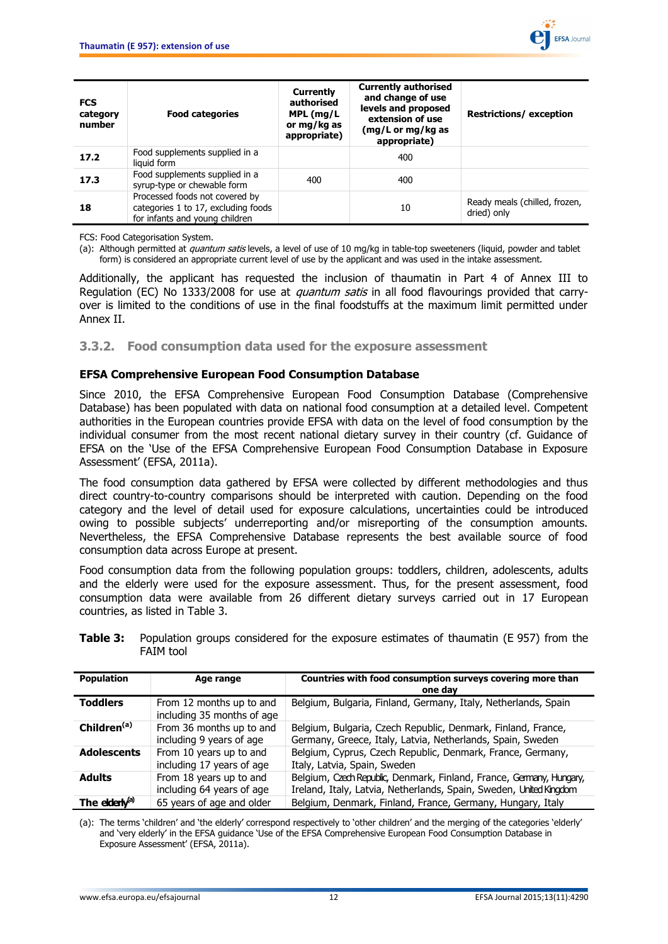

| <b>FCS</b><br>category<br>number | <b>Food categories</b>                                                                                  | Currently<br>authorised<br>MPL (mg/L<br>or mg/kg as<br>appropriate) | <b>Currently authorised</b><br>and change of use<br>levels and proposed<br>extension of use<br>(mg/L or mg/kg as<br>appropriate) | <b>Restrictions/exception</b>                |
|----------------------------------|---------------------------------------------------------------------------------------------------------|---------------------------------------------------------------------|----------------------------------------------------------------------------------------------------------------------------------|----------------------------------------------|
| 17.2                             | Food supplements supplied in a<br>liquid form                                                           |                                                                     | 400                                                                                                                              |                                              |
| 17.3                             | Food supplements supplied in a<br>syrup-type or chewable form                                           | 400                                                                 | 400                                                                                                                              |                                              |
| 18                               | Processed foods not covered by<br>categories 1 to 17, excluding foods<br>for infants and young children |                                                                     | 10                                                                                                                               | Ready meals (chilled, frozen,<br>dried) only |

FCS: Food Categorisation System.

(a): Although permitted at *quantum satis* levels, a level of use of 10 mg/kg in table-top sweeteners (liquid, powder and tablet form) is considered an appropriate current level of use by the applicant and was used in the intake assessment.

Additionally, the applicant has requested the inclusion of thaumatin in Part 4 of Annex III to Regulation (EC) No 1333/2008 for use at *quantum satis* in all food flavourings provided that carryover is limited to the conditions of use in the final foodstuffs at the maximum limit permitted under Annex II.

#### <span id="page-11-0"></span>**3.3.2. Food consumption data used for the exposure assessment**

#### **EFSA Comprehensive European Food Consumption Database**

Since 2010, the EFSA Comprehensive European Food Consumption Database (Comprehensive Database) has been populated with data on national food consumption at a detailed level. Competent authorities in the European countries provide EFSA with data on the level of food consumption by the individual consumer from the most recent national dietary survey in their country (cf. Guidance of EFSA on the 'Use of the EFSA Comprehensive European Food Consumption Database in Exposure Assessment' (EFSA, 2011a).

The food consumption data gathered by EFSA were collected by different methodologies and thus direct country-to-country comparisons should be interpreted with caution. Depending on the food category and the level of detail used for exposure calculations, uncertainties could be introduced owing to possible subjects' underreporting and/or misreporting of the consumption amounts. Nevertheless, the EFSA Comprehensive Database represents the best available source of food consumption data across Europe at present.

Food consumption data from the following population groups: toddlers, children, adolescents, adults and the elderly were used for the exposure assessment. Thus, for the present assessment, food consumption data were available from 26 different dietary surveys carried out in 17 European countries, as listed in Table 3.

| <b>Population</b>          | Age range                                              | Countries with food consumption surveys covering more than<br>one day                                                                      |
|----------------------------|--------------------------------------------------------|--------------------------------------------------------------------------------------------------------------------------------------------|
| <b>Toddlers</b>            | From 12 months up to and<br>including 35 months of age | Belgium, Bulgaria, Finland, Germany, Italy, Netherlands, Spain                                                                             |
| Children <sup>(a)</sup>    | From 36 months up to and<br>including 9 years of age   | Belgium, Bulgaria, Czech Republic, Denmark, Finland, France,<br>Germany, Greece, Italy, Latvia, Netherlands, Spain, Sweden                 |
| <b>Adolescents</b>         | From 10 years up to and<br>including 17 years of age   | Belgium, Cyprus, Czech Republic, Denmark, France, Germany,<br>Italy, Latvia, Spain, Sweden                                                 |
| <b>Adults</b>              | From 18 years up to and<br>including 64 years of age   | Belgium, Czech Republic, Denmark, Finland, France, Germany, Hungary,<br>Ireland, Italy, Latvia, Netherlands, Spain, Sweden, United Kingdom |
| The elderly <sup>(a)</sup> | 65 years of age and older                              | Belgium, Denmark, Finland, France, Germany, Hungary, Italy                                                                                 |

**Table 3:** Population groups considered for the exposure estimates of thaumatin (E 957) from the FAIM tool

(a): The terms 'children' and 'the elderly' correspond respectively to 'other children' and the merging of the categories 'elderly' and 'very elderly' in the EFSA guidance 'Use of the EFSA Comprehensive European Food Consumption Database in Exposure Assessment' (EFSA, 2011a).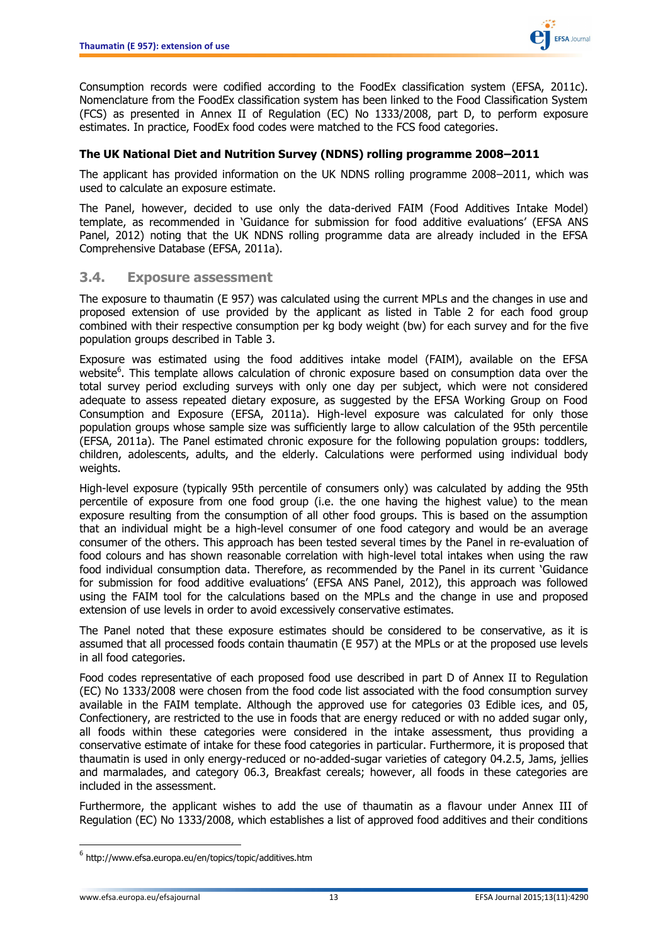

Consumption records were codified according to the FoodEx classification system (EFSA, 2011c). Nomenclature from the FoodEx classification system has been linked to the Food Classification System (FCS) as presented in Annex II of Regulation (EC) No 1333/2008, part D, to perform exposure estimates. In practice, FoodEx food codes were matched to the FCS food categories.

#### **The UK National Diet and Nutrition Survey (NDNS) rolling programme 2008–2011**

The applicant has provided information on the UK NDNS rolling programme 2008–2011, which was used to calculate an exposure estimate.

The Panel, however, decided to use only the data-derived FAIM (Food Additives Intake Model) template, as recommended in 'Guidance for submission for food additive evaluations' (EFSA ANS Panel, 2012) noting that the UK NDNS rolling programme data are already included in the EFSA Comprehensive Database (EFSA, 2011a).

#### <span id="page-12-0"></span>**3.4. Exposure assessment**

The exposure to thaumatin (E 957) was calculated using the current MPLs and the changes in use and proposed extension of use provided by the applicant as listed in Table 2 for each food group combined with their respective consumption per kg body weight (bw) for each survey and for the five population groups described in Table 3.

Exposure was estimated using the food additives intake model (FAIM), available on the EFSA website<sup>6</sup>. This template allows calculation of chronic exposure based on consumption data over the total survey period excluding surveys with only one day per subject, which were not considered adequate to assess repeated dietary exposure, as suggested by the EFSA Working Group on Food Consumption and Exposure (EFSA, 2011a). High-level exposure was calculated for only those population groups whose sample size was sufficiently large to allow calculation of the 95th percentile (EFSA, 2011a). The Panel estimated chronic exposure for the following population groups: toddlers, children, adolescents, adults, and the elderly. Calculations were performed using individual body weights.

High-level exposure (typically 95th percentile of consumers only) was calculated by adding the 95th percentile of exposure from one food group (i.e. the one having the highest value) to the mean exposure resulting from the consumption of all other food groups. This is based on the assumption that an individual might be a high-level consumer of one food category and would be an average consumer of the others. This approach has been tested several times by the Panel in re-evaluation of food colours and has shown reasonable correlation with high-level total intakes when using the raw food individual consumption data. Therefore, as recommended by the Panel in its current 'Guidance for submission for food additive evaluations' (EFSA ANS Panel, 2012), this approach was followed using the FAIM tool for the calculations based on the MPLs and the change in use and proposed extension of use levels in order to avoid excessively conservative estimates.

The Panel noted that these exposure estimates should be considered to be conservative, as it is assumed that all processed foods contain thaumatin (E 957) at the MPLs or at the proposed use levels in all food categories.

Food codes representative of each proposed food use described in part D of Annex II to Regulation (EC) No 1333/2008 were chosen from the food code list associated with the food consumption survey available in the FAIM template. Although the approved use for categories 03 Edible ices, and 05, Confectionery, are restricted to the use in foods that are energy reduced or with no added sugar only, all foods within these categories were considered in the intake assessment, thus providing a conservative estimate of intake for these food categories in particular. Furthermore, it is proposed that thaumatin is used in only energy-reduced or no-added-sugar varieties of category 04.2.5, Jams, jellies and marmalades, and category 06.3, Breakfast cereals; however, all foods in these categories are included in the assessment.

Furthermore, the applicant wishes to add the use of thaumatin as a flavour under Annex III of Regulation (EC) No 1333/2008, which establishes a list of approved food additives and their conditions

 $\overline{\phantom{a}}$ 

 $^6$  http://www.efsa.europa.eu/en/topics/topic/additives.htm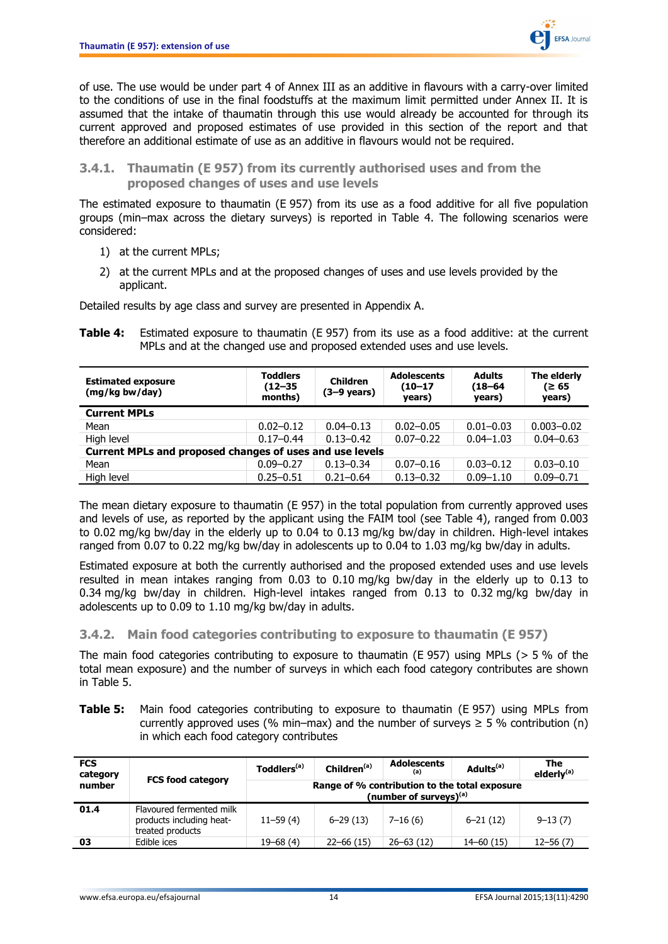

of use. The use would be under part 4 of Annex III as an additive in flavours with a carry-over limited to the conditions of use in the final foodstuffs at the maximum limit permitted under Annex II. It is assumed that the intake of thaumatin through this use would already be accounted for through its current approved and proposed estimates of use provided in this section of the report and that therefore an additional estimate of use as an additive in flavours would not be required.

<span id="page-13-0"></span>**3.4.1. Thaumatin (E 957) from its currently authorised uses and from the proposed changes of uses and use levels**

The estimated exposure to thaumatin (E 957) from its use as a food additive for all five population groups (min–max across the dietary surveys) is reported in Table 4. The following scenarios were considered:

- 1) at the current MPLs;
- 2) at the current MPLs and at the proposed changes of uses and use levels provided by the applicant.

Detailed results by age class and survey are presented in Appendix A.

**Table 4:** Estimated exposure to thaumatin (E 957) from its use as a food additive: at the current MPLs and at the changed use and proposed extended uses and use levels.

| <b>Estimated exposure</b><br>(mg/kg bw/day)              | <b>Toddlers</b><br>$(12 - 35)$<br>months) | <b>Children</b><br>$(3-9 \text{ years})$ | <b>Adolescents</b><br>$(10 - 17)$<br>years) | <b>Adults</b><br>$(18 - 64)$<br>years) | The elderly<br>(≥ 65<br>years) |
|----------------------------------------------------------|-------------------------------------------|------------------------------------------|---------------------------------------------|----------------------------------------|--------------------------------|
| <b>Current MPLs</b>                                      |                                           |                                          |                                             |                                        |                                |
| Mean                                                     | $0.02 - 0.12$                             | $0.04 - 0.13$                            | $0.02 - 0.05$                               | $0.01 - 0.03$                          | $0.003 - 0.02$                 |
| High level                                               | $0.17 - 0.44$                             | $0.13 - 0.42$                            | $0.07 - 0.22$                               | $0.04 - 1.03$                          | $0.04 - 0.63$                  |
| Current MPLs and proposed changes of uses and use levels |                                           |                                          |                                             |                                        |                                |
| Mean                                                     | $0.09 - 0.27$                             | $0.13 - 0.34$                            | $0.07 - 0.16$                               | $0.03 - 0.12$                          | $0.03 - 0.10$                  |
| High level                                               | $0.25 - 0.51$                             | $0.21 - 0.64$                            | $0.13 - 0.32$                               | $0.09 - 1.10$                          | $0.09 - 0.71$                  |

The mean dietary exposure to thaumatin (E 957) in the total population from currently approved uses and levels of use, as reported by the applicant using the FAIM tool (see Table 4), ranged from 0.003 to 0.02 mg/kg bw/day in the elderly up to 0.04 to 0.13 mg/kg bw/day in children. High-level intakes ranged from 0.07 to 0.22 mg/kg bw/day in adolescents up to 0.04 to 1.03 mg/kg bw/day in adults.

Estimated exposure at both the currently authorised and the proposed extended uses and use levels resulted in mean intakes ranging from 0.03 to 0.10 mg/kg bw/day in the elderly up to 0.13 to 0.34 mg/kg bw/day in children. High-level intakes ranged from 0.13 to 0.32 mg/kg bw/day in adolescents up to 0.09 to 1.10 mg/kg bw/day in adults.

#### <span id="page-13-1"></span>**3.4.2. Main food categories contributing to exposure to thaumatin (E 957)**

The main food categories contributing to exposure to thaumatin (E 957) using MPLs ( $> 5\%$  of the total mean exposure) and the number of surveys in which each food category contributes are shown in Table 5.

**Table 5:** Main food categories contributing to exposure to thaumatin (E 957) using MPLs from currently approved uses (% min–max) and the number of surveys  $\geq$  5 % contribution (n) in which each food category contributes

| <b>FCS</b><br>category | <b>FCS food category</b>                                                 | Toddlers <sup>(a)</sup>                                                    | Children <sup>(a)</sup> | <b>Adolescents</b><br>(a) | Adults <sup>(a)</sup> | The<br>elderly <sup>(a)</sup> |  |
|------------------------|--------------------------------------------------------------------------|----------------------------------------------------------------------------|-------------------------|---------------------------|-----------------------|-------------------------------|--|
| number                 |                                                                          | Range of % contribution to the total exposure<br>(number of surveys) $(a)$ |                         |                           |                       |                               |  |
| 01.4                   | Flavoured fermented milk<br>products including heat-<br>treated products | $11 - 59(4)$                                                               | $6 - 29(13)$            | $7 - 16(6)$               | $6 - 21(12)$          | $9 - 13(7)$                   |  |
| 03                     | Edible ices                                                              | $19 - 68(4)$                                                               | $22 - 66(15)$           | $26 - 63(12)$             | $14 - 60(15)$         | $12 - 56(7)$                  |  |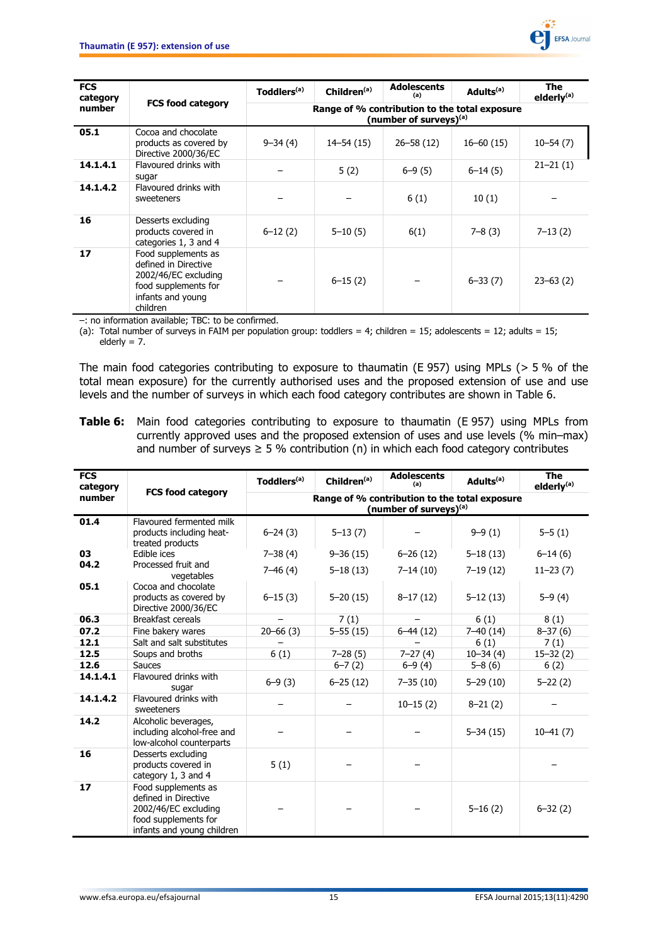

| <b>FCS</b><br>category |                                                                                                                              | Toddlers <sup>(a)</sup>                                                             | Children <sup>(a)</sup> | <b>Adolescents</b><br>(a) | Adults <sup>(a)</sup> | The<br>elderly <sup>(a)</sup> |
|------------------------|------------------------------------------------------------------------------------------------------------------------------|-------------------------------------------------------------------------------------|-------------------------|---------------------------|-----------------------|-------------------------------|
| number                 | <b>FCS food category</b>                                                                                                     | Range of % contribution to the total exposure<br>(number of surveys) <sup>(a)</sup> |                         |                           |                       |                               |
| 05.1                   | Cocoa and chocolate<br>products as covered by<br>Directive 2000/36/EC                                                        | $9 - 34(4)$                                                                         | $14 - 54(15)$           | $26 - 58(12)$             | $16 - 60(15)$         | $10 - 54(7)$                  |
| 14.1.4.1               | Flavoured drinks with<br>sugar                                                                                               |                                                                                     | 5(2)                    | $6 - 9(5)$                | $6 - 14(5)$           | $21 - 21(1)$                  |
| 14.1.4.2               | Flavoured drinks with<br>sweeteners                                                                                          |                                                                                     |                         | 6(1)                      | 10(1)                 |                               |
| 16                     | Desserts excluding<br>products covered in<br>categories 1, 3 and 4                                                           | $6 - 12(2)$                                                                         | $5 - 10(5)$             | 6(1)                      | $7 - 8(3)$            | $7 - 13(2)$                   |
| 17                     | Food supplements as<br>defined in Directive<br>2002/46/EC excluding<br>food supplements for<br>infants and young<br>children |                                                                                     | $6 - 15(2)$             |                           | $6 - 33(7)$           | $23 - 63(2)$                  |

–: no information available; TBC: to be confirmed.

(a): Total number of surveys in FAIM per population group: toddlers = 4; children = 15; adolescents = 12; adults = 15; elderly  $= 7$ .

The main food categories contributing to exposure to thaumatin (E 957) using MPLs (> 5 % of the total mean exposure) for the currently authorised uses and the proposed extension of use and use levels and the number of surveys in which each food category contributes are shown in Table 6.

**Table 6:** Main food categories contributing to exposure to thaumatin (E 957) using MPLs from currently approved uses and the proposed extension of uses and use levels (% min–max) and number of surveys  $\geq 5$  % contribution (n) in which each food category contributes

| <b>FCS</b><br>category |                                                                                                                           | Toddlers <sup>(a)</sup>                                                             | Children <sup>(a)</sup> | <b>Adolescents</b><br>(a) | Adults <sup>(a)</sup> | <b>The</b><br>elderly <sup>(a)</sup> |
|------------------------|---------------------------------------------------------------------------------------------------------------------------|-------------------------------------------------------------------------------------|-------------------------|---------------------------|-----------------------|--------------------------------------|
| number                 | <b>FCS food category</b>                                                                                                  | Range of % contribution to the total exposure<br>(number of surveys) <sup>(a)</sup> |                         |                           |                       |                                      |
| 01.4                   | Flavoured fermented milk<br>products including heat-<br>treated products                                                  | $6 - 24(3)$                                                                         | $5 - 13(7)$             |                           | $9 - 9(1)$            | $5 - 5(1)$                           |
| 03                     | Edible ices                                                                                                               | $7 - 38(4)$                                                                         | $9 - 36(15)$            | $6 - 26(12)$              | $5 - 18(13)$          | $6-14(6)$                            |
| 04.2                   | Processed fruit and<br>vegetables                                                                                         | $7 - 46(4)$                                                                         | $5 - 18(13)$            | $7 - 14(10)$              | $7 - 19(12)$          | $11 - 23(7)$                         |
| 05.1                   | Cocoa and chocolate<br>products as covered by<br>Directive 2000/36/EC                                                     | $6 - 15(3)$                                                                         | $5 - 20(15)$            | $8-17(12)$                | $5 - 12(13)$          | $5 - 9(4)$                           |
| 06.3                   | Breakfast cereals                                                                                                         |                                                                                     | 7(1)                    |                           | 6(1)                  | 8(1)                                 |
| 07.2                   | Fine bakery wares                                                                                                         | $20 - 66(3)$                                                                        | $5 - 55(15)$            | $6-44(12)$                | $7 - 40(14)$          | $8 - 37(6)$                          |
| 12.1                   | Salt and salt substitutes                                                                                                 |                                                                                     |                         |                           | 6(1)                  | 7(1)                                 |
| 12.5                   | Soups and broths                                                                                                          | 6(1)                                                                                | $7 - 28(5)$             | $7 - 27(4)$               | $10 - 34(4)$          | $15 - 32(2)$                         |
| 12.6                   | <b>Sauces</b>                                                                                                             |                                                                                     | $6 - 7(2)$              | $6 - 9(4)$                | $5 - 8(6)$            | 6(2)                                 |
| 14.1.4.1               | Flavoured drinks with<br>sugar                                                                                            | $6 - 9(3)$                                                                          | $6 - 25(12)$            | $7 - 35(10)$              | $5 - 29(10)$          | $5 - 22(2)$                          |
| 14.1.4.2               | Flavoured drinks with<br>sweeteners                                                                                       |                                                                                     |                         | $10 - 15(2)$              | $8 - 21(2)$           |                                      |
| 14.2                   | Alcoholic beverages,<br>including alcohol-free and<br>low-alcohol counterparts                                            |                                                                                     |                         |                           | $5 - 34(15)$          | $10 - 41(7)$                         |
| 16                     | Desserts excluding<br>products covered in<br>category 1, 3 and 4                                                          | 5(1)                                                                                |                         |                           |                       |                                      |
| 17                     | Food supplements as<br>defined in Directive<br>2002/46/EC excluding<br>food supplements for<br>infants and young children |                                                                                     |                         |                           | $5 - 16(2)$           | $6 - 32(2)$                          |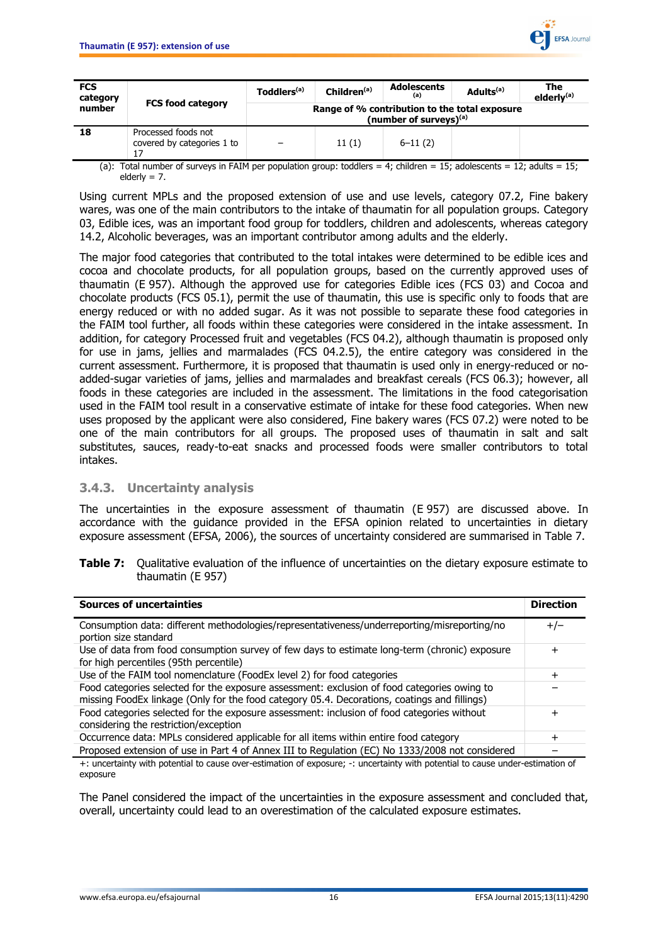

| <b>FCS</b><br>category |                                                   | Toddlers <sup>(a)</sup> | Children <sup>(a)</sup> | <b>Adolescents</b><br>(a)                                                  | Adults <sup>(a)</sup> | The<br>elderly <sup>(a)</sup> |
|------------------------|---------------------------------------------------|-------------------------|-------------------------|----------------------------------------------------------------------------|-----------------------|-------------------------------|
| number                 | <b>FCS food category</b>                          |                         |                         | Range of % contribution to the total exposure<br>(number of surveys) $(a)$ |                       |                               |
| 18                     | Processed foods not<br>covered by categories 1 to |                         | 11(1)                   | $6 - 11(2)$                                                                |                       |                               |

(a): Total number of surveys in FAIM per population group: toddlers = 4; children = 15; adolescents = 12; adults = 15;  $elderiv = 7$ .

Using current MPLs and the proposed extension of use and use levels, category 07.2, Fine bakery wares, was one of the main contributors to the intake of thaumatin for all population groups. Category 03, Edible ices, was an important food group for toddlers, children and adolescents, whereas category 14.2, Alcoholic beverages, was an important contributor among adults and the elderly.

The major food categories that contributed to the total intakes were determined to be edible ices and cocoa and chocolate products, for all population groups, based on the currently approved uses of thaumatin (E 957). Although the approved use for categories Edible ices (FCS 03) and Cocoa and chocolate products (FCS 05.1), permit the use of thaumatin, this use is specific only to foods that are energy reduced or with no added sugar. As it was not possible to separate these food categories in the FAIM tool further, all foods within these categories were considered in the intake assessment. In addition, for category Processed fruit and vegetables (FCS 04.2), although thaumatin is proposed only for use in jams, jellies and marmalades (FCS 04.2.5), the entire category was considered in the current assessment. Furthermore, it is proposed that thaumatin is used only in energy-reduced or noadded-sugar varieties of jams, jellies and marmalades and breakfast cereals (FCS 06.3); however, all foods in these categories are included in the assessment. The limitations in the food categorisation used in the FAIM tool result in a conservative estimate of intake for these food categories. When new uses proposed by the applicant were also considered, Fine bakery wares (FCS 07.2) were noted to be one of the main contributors for all groups. The proposed uses of thaumatin in salt and salt substitutes, sauces, ready-to-eat snacks and processed foods were smaller contributors to total intakes.

#### <span id="page-15-0"></span>**3.4.3. Uncertainty analysis**

The uncertainties in the exposure assessment of thaumatin (E 957) are discussed above. In accordance with the guidance provided in the EFSA opinion related to uncertainties in dietary exposure assessment (EFSA, 2006), the sources of uncertainty considered are summarised in Table 7.

**Table 7:** Qualitative evaluation of the influence of uncertainties on the dietary exposure estimate to thaumatin (E 957)

| <b>Sources of uncertainties</b>                                                                                                                                                             | <b>Direction</b> |
|---------------------------------------------------------------------------------------------------------------------------------------------------------------------------------------------|------------------|
| Consumption data: different methodologies/representativeness/underreporting/misreporting/no<br>portion size standard                                                                        | $+/-$            |
| Use of data from food consumption survey of few days to estimate long-term (chronic) exposure<br>for high percentiles (95th percentile)                                                     | $\,{}^+$         |
| Use of the FAIM tool nomenclature (FoodEx level 2) for food categories                                                                                                                      | +                |
| Food categories selected for the exposure assessment: exclusion of food categories owing to<br>missing FoodEx linkage (Only for the food category 05.4. Decorations, coatings and fillings) |                  |
| Food categories selected for the exposure assessment: inclusion of food categories without<br>considering the restriction/exception                                                         | ┿                |
| Occurrence data: MPLs considered applicable for all items within entire food category                                                                                                       | $\,{}^+$         |
| Proposed extension of use in Part 4 of Annex III to Regulation (EC) No 1333/2008 not considered                                                                                             |                  |

+: uncertainty with potential to cause over-estimation of exposure; -: uncertainty with potential to cause under-estimation of exposure

The Panel considered the impact of the uncertainties in the exposure assessment and concluded that, overall, uncertainty could lead to an overestimation of the calculated exposure estimates.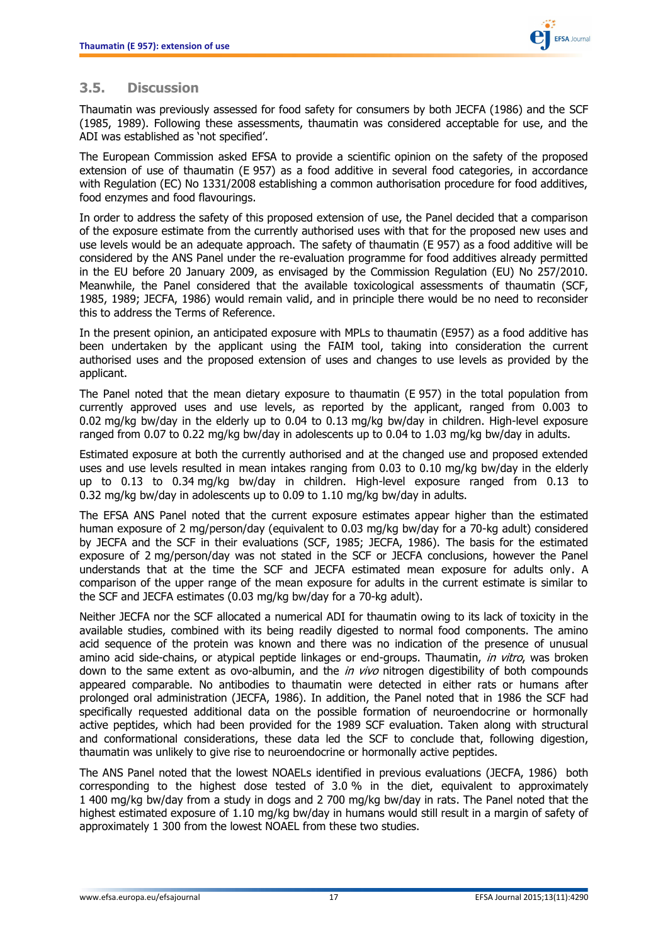

### <span id="page-16-0"></span>**3.5. Discussion**

Thaumatin was previously assessed for food safety for consumers by both JECFA (1986) and the SCF (1985, 1989). Following these assessments, thaumatin was considered acceptable for use, and the ADI was established as 'not specified'.

The European Commission asked EFSA to provide a scientific opinion on the safety of the proposed extension of use of thaumatin (E 957) as a food additive in several food categories, in accordance with Regulation (EC) No 1331/2008 establishing a common authorisation procedure for food additives, food enzymes and food flavourings.

In order to address the safety of this proposed extension of use, the Panel decided that a comparison of the exposure estimate from the currently authorised uses with that for the proposed new uses and use levels would be an adequate approach. The safety of thaumatin (E 957) as a food additive will be considered by the ANS Panel under the re-evaluation programme for food additives already permitted in the EU before 20 January 2009, as envisaged by the Commission Regulation (EU) No 257/2010. Meanwhile, the Panel considered that the available toxicological assessments of thaumatin (SCF, 1985, 1989; JECFA, 1986) would remain valid, and in principle there would be no need to reconsider this to address the Terms of Reference.

In the present opinion, an anticipated exposure with MPLs to thaumatin (E957) as a food additive has been undertaken by the applicant using the FAIM tool, taking into consideration the current authorised uses and the proposed extension of uses and changes to use levels as provided by the applicant.

The Panel noted that the mean dietary exposure to thaumatin (E 957) in the total population from currently approved uses and use levels, as reported by the applicant, ranged from 0.003 to 0.02 mg/kg bw/day in the elderly up to 0.04 to 0.13 mg/kg bw/day in children. High-level exposure ranged from 0.07 to 0.22 mg/kg bw/day in adolescents up to 0.04 to 1.03 mg/kg bw/day in adults.

Estimated exposure at both the currently authorised and at the changed use and proposed extended uses and use levels resulted in mean intakes ranging from 0.03 to 0.10 mg/kg bw/day in the elderly up to 0.13 to 0.34 mg/kg bw/day in children. High-level exposure ranged from 0.13 to 0.32 mg/kg bw/day in adolescents up to 0.09 to 1.10 mg/kg bw/day in adults.

The EFSA ANS Panel noted that the current exposure estimates appear higher than the estimated human exposure of 2 mg/person/day (equivalent to 0.03 mg/kg bw/day for a 70-kg adult) considered by JECFA and the SCF in their evaluations (SCF, 1985; JECFA, 1986). The basis for the estimated exposure of 2 mg/person/day was not stated in the SCF or JECFA conclusions, however the Panel understands that at the time the SCF and JECFA estimated mean exposure for adults only. A comparison of the upper range of the mean exposure for adults in the current estimate is similar to the SCF and JECFA estimates (0.03 mg/kg bw/day for a 70-kg adult).

Neither JECFA nor the SCF allocated a numerical ADI for thaumatin owing to its lack of toxicity in the available studies, combined with its being readily digested to normal food components. The amino acid sequence of the protein was known and there was no indication of the presence of unusual amino acid side-chains, or atypical peptide linkages or end-groups. Thaumatin, in vitro, was broken down to the same extent as ovo-albumin, and the *in vivo* nitrogen digestibility of both compounds appeared comparable. No antibodies to thaumatin were detected in either rats or humans after prolonged oral administration (JECFA, 1986). In addition, the Panel noted that in 1986 the SCF had specifically requested additional data on the possible formation of neuroendocrine or hormonally active peptides, which had been provided for the 1989 SCF evaluation. Taken along with structural and conformational considerations, these data led the SCF to conclude that, following digestion, thaumatin was unlikely to give rise to neuroendocrine or hormonally active peptides.

The ANS Panel noted that the lowest NOAELs identified in previous evaluations (JECFA, 1986) both corresponding to the highest dose tested of 3.0 % in the diet, equivalent to approximately 1 400 mg/kg bw/day from a study in dogs and 2 700 mg/kg bw/day in rats. The Panel noted that the highest estimated exposure of 1.10 mg/kg bw/day in humans would still result in a margin of safety of approximately 1 300 from the lowest NOAEL from these two studies.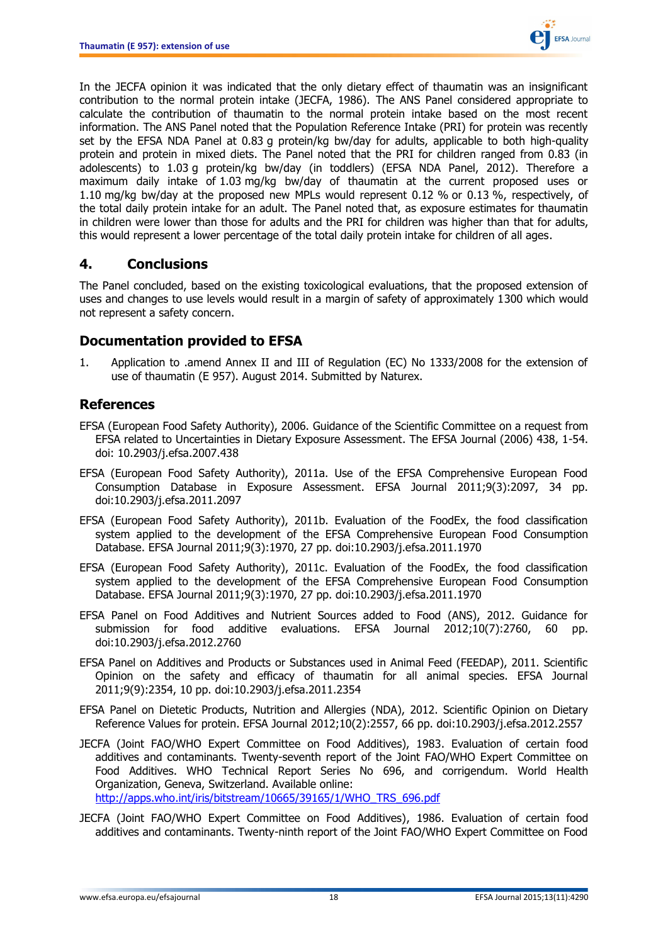

In the JECFA opinion it was indicated that the only dietary effect of thaumatin was an insignificant contribution to the normal protein intake (JECFA, 1986). The ANS Panel considered appropriate to calculate the contribution of thaumatin to the normal protein intake based on the most recent information. The ANS Panel noted that the Population Reference Intake (PRI) for protein was recently set by the EFSA NDA Panel at 0.83 g protein/kg bw/day for adults, applicable to both high-quality protein and protein in mixed diets. The Panel noted that the PRI for children ranged from 0.83 (in adolescents) to 1.03 g protein/kg bw/day (in toddlers) (EFSA NDA Panel, 2012). Therefore a maximum daily intake of 1.03 mg/kg bw/day of thaumatin at the current proposed uses or 1.10 mg/kg bw/day at the proposed new MPLs would represent 0.12 % or 0.13 %, respectively, of the total daily protein intake for an adult. The Panel noted that, as exposure estimates for thaumatin in children were lower than those for adults and the PRI for children was higher than that for adults, this would represent a lower percentage of the total daily protein intake for children of all ages.

## <span id="page-17-0"></span>**4. Conclusions**

The Panel concluded, based on the existing toxicological evaluations, that the proposed extension of uses and changes to use levels would result in a margin of safety of approximately 1300 which would not represent a safety concern.

### <span id="page-17-1"></span>**Documentation provided to EFSA**

1. Application to .amend Annex II and III of Regulation (EC) No 1333/2008 for the extension of use of thaumatin (E 957). August 2014. Submitted by Naturex.

## <span id="page-17-2"></span>**References**

- EFSA (European Food Safety Authority), 2006. Guidance of the Scientific Committee on a request from EFSA related to Uncertainties in Dietary Exposure Assessment. The EFSA Journal (2006) 438, 1-54. doi: 10.2903/j.efsa.2007.438
- EFSA (European Food Safety Authority), 2011a. Use of the EFSA Comprehensive European Food Consumption Database in Exposure Assessment. EFSA Journal 2011;9(3):2097, 34 pp. doi:10.2903/j.efsa.2011.2097
- EFSA (European Food Safety Authority), 2011b. Evaluation of the FoodEx, the food classification system applied to the development of the EFSA Comprehensive European Food Consumption Database. EFSA Journal 2011;9(3):1970, 27 pp. doi:10.2903/j.efsa.2011.1970
- EFSA (European Food Safety Authority), 2011c. Evaluation of the FoodEx, the food classification system applied to the development of the EFSA Comprehensive European Food Consumption Database. EFSA Journal 2011;9(3):1970, 27 pp. doi:10.2903/j.efsa.2011.1970
- EFSA Panel on Food Additives and Nutrient Sources added to Food (ANS), 2012. Guidance for submission for food additive evaluations. EFSA Journal 2012;10(7):2760, 60 pp. doi:10.2903/j.efsa.2012.2760
- EFSA Panel on Additives and Products or Substances used in Animal Feed (FEEDAP), 2011. Scientific Opinion on the safety and efficacy of thaumatin for all animal species. EFSA Journal 2011;9(9):2354, 10 pp. doi:10.2903/j.efsa.2011.2354
- EFSA Panel on Dietetic Products, Nutrition and Allergies (NDA), 2012. Scientific Opinion on Dietary Reference Values for protein. EFSA Journal 2012;10(2):2557, 66 pp. doi:10.2903/j.efsa.2012.2557
- JECFA (Joint FAO/WHO Expert Committee on Food Additives), 1983. Evaluation of certain food additives and contaminants. Twenty-seventh report of the Joint FAO/WHO Expert Committee on Food Additives. WHO Technical Report Series No 696, and corrigendum. World Health Organization, Geneva, Switzerland. Available online: [http://apps.who.int/iris/bitstream/10665/39165/1/WHO\\_TRS\\_696.pdf](http://apps.who.int/iris/bitstream/10665/39165/1/WHO_TRS_696.pdf)
- JECFA (Joint FAO/WHO Expert Committee on Food Additives), 1986. Evaluation of certain food additives and contaminants. Twenty-ninth report of the Joint FAO/WHO Expert Committee on Food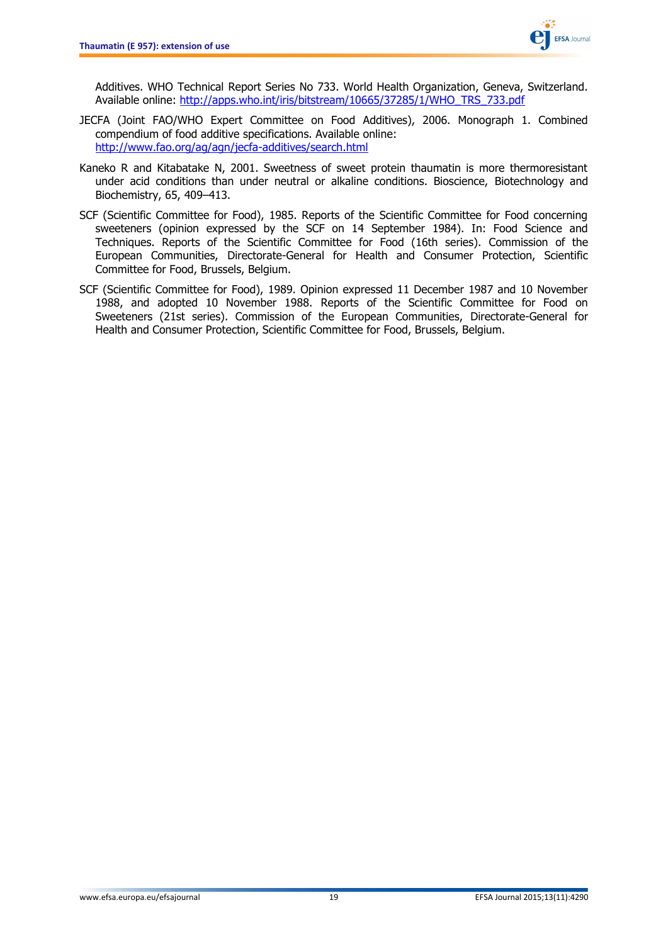

Additives. WHO Technical Report Series No 733. World Health Organization, Geneva, Switzerland. Available online: [http://apps.who.int/iris/bitstream/10665/37285/1/WHO\\_TRS\\_733.pdf](http://apps.who.int/iris/bitstream/10665/37285/1/WHO_TRS_733.pdf)

- JECFA (Joint FAO/WHO Expert Committee on Food Additives), 2006. Monograph 1. Combined compendium of food additive specifications. Available online: <http://www.fao.org/ag/agn/jecfa-additives/search.html>
- Kaneko R and Kitabatake N, 2001. Sweetness of sweet protein thaumatin is more thermoresistant under acid conditions than under neutral or alkaline conditions. Bioscience, Biotechnology and Biochemistry, 65, 409–413.
- SCF (Scientific Committee for Food), 1985. Reports of the Scientific Committee for Food concerning sweeteners (opinion expressed by the SCF on 14 September 1984). In: Food Science and Techniques. Reports of the Scientific Committee for Food (16th series). Commission of the European Communities, Directorate-General for Health and Consumer Protection, Scientific Committee for Food, Brussels, Belgium.
- SCF (Scientific Committee for Food), 1989. Opinion expressed 11 December 1987 and 10 November 1988, and adopted 10 November 1988. Reports of the Scientific Committee for Food on Sweeteners (21st series). Commission of the European Communities, Directorate-General for Health and Consumer Protection, Scientific Committee for Food, Brussels, Belgium.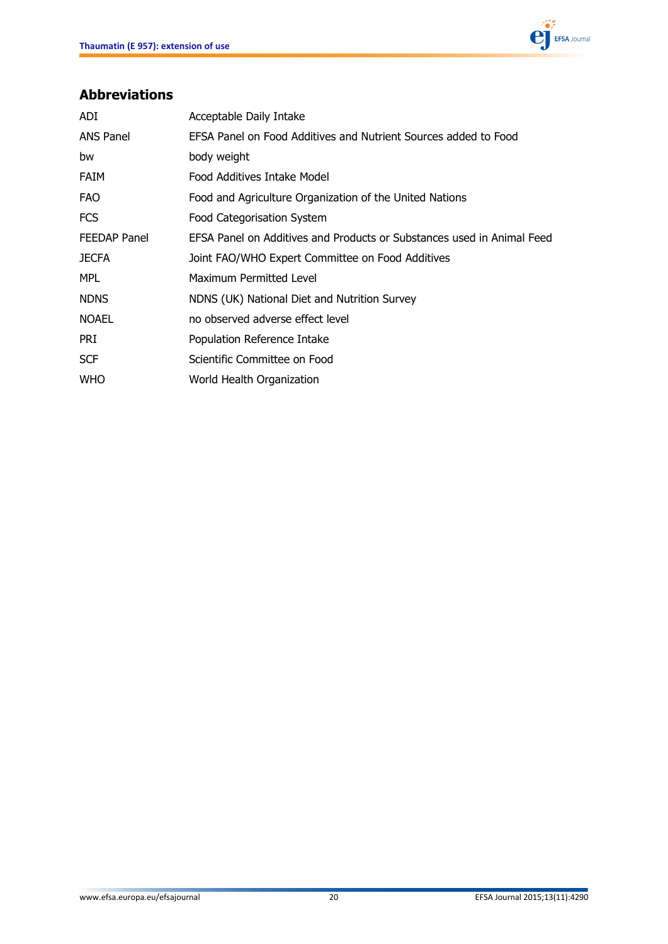

## <span id="page-19-0"></span>**Abbreviations**

| ADI                 | Acceptable Daily Intake                                                |
|---------------------|------------------------------------------------------------------------|
| <b>ANS Panel</b>    | EFSA Panel on Food Additives and Nutrient Sources added to Food        |
| bw                  | body weight                                                            |
| <b>FAIM</b>         | Food Additives Intake Model                                            |
| <b>FAO</b>          | Food and Agriculture Organization of the United Nations                |
| <b>FCS</b>          | Food Categorisation System                                             |
| <b>FEEDAP Panel</b> | EFSA Panel on Additives and Products or Substances used in Animal Feed |
| <b>JECFA</b>        | Joint FAO/WHO Expert Committee on Food Additives                       |
| <b>MPL</b>          | Maximum Permitted Level                                                |
| <b>NDNS</b>         | NDNS (UK) National Diet and Nutrition Survey                           |
| <b>NOAEL</b>        | no observed adverse effect level                                       |
| <b>PRI</b>          | Population Reference Intake                                            |
| <b>SCF</b>          | Scientific Committee on Food                                           |
| <b>WHO</b>          | World Health Organization                                              |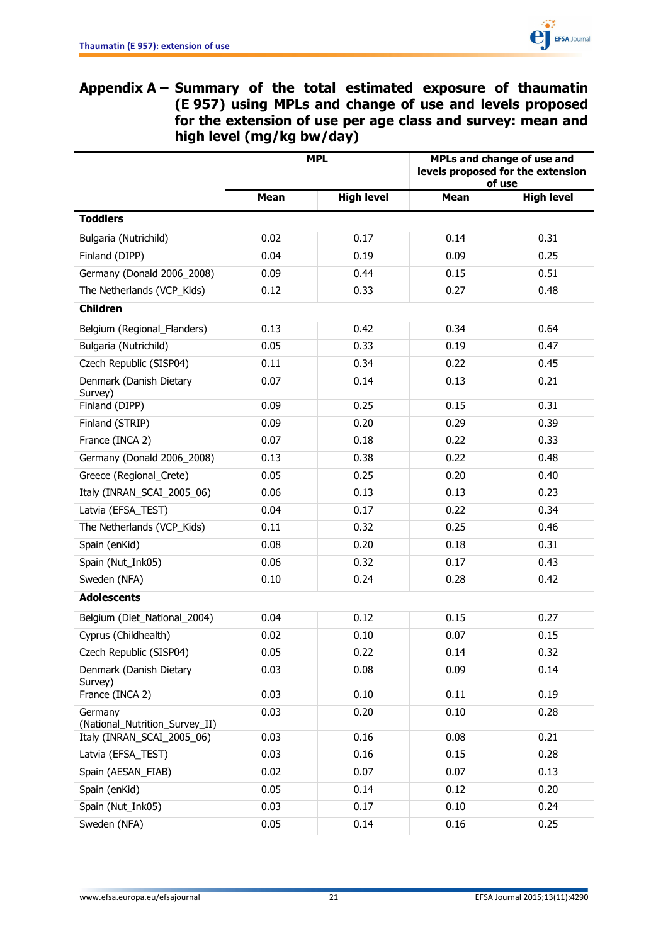<span id="page-20-0"></span>

**Appendix A – Summary of the total estimated exposure of thaumatin (E 957) using MPLs and change of use and levels proposed for the extension of use per age class and survey: mean and high level (mg/kg bw/day)**

|                                           | <b>MPL</b>  |                   | MPLs and change of use and<br>levels proposed for the extension<br>of use |                   |
|-------------------------------------------|-------------|-------------------|---------------------------------------------------------------------------|-------------------|
|                                           | <b>Mean</b> | <b>High level</b> | <b>Mean</b>                                                               | <b>High level</b> |
| <b>Toddlers</b>                           |             |                   |                                                                           |                   |
| Bulgaria (Nutrichild)                     | 0.02        | 0.17              | 0.14                                                                      | 0.31              |
| Finland (DIPP)                            | 0.04        | 0.19              | 0.09                                                                      | 0.25              |
| Germany (Donald 2006 2008)                | 0.09        | 0.44              | 0.15                                                                      | 0.51              |
| The Netherlands (VCP_Kids)                | 0.12        | 0.33              | 0.27                                                                      | 0.48              |
| <b>Children</b>                           |             |                   |                                                                           |                   |
| Belgium (Regional_Flanders)               | 0.13        | 0.42              | 0.34                                                                      | 0.64              |
| Bulgaria (Nutrichild)                     | 0.05        | 0.33              | 0.19                                                                      | 0.47              |
| Czech Republic (SISP04)                   | 0.11        | 0.34              | 0.22                                                                      | 0.45              |
| Denmark (Danish Dietary<br>Survey)        | 0.07        | 0.14              | 0.13                                                                      | 0.21              |
| Finland (DIPP)                            | 0.09        | 0.25              | 0.15                                                                      | 0.31              |
| Finland (STRIP)                           | 0.09        | 0.20              | 0.29                                                                      | 0.39              |
| France (INCA 2)                           | 0.07        | 0.18              | 0.22                                                                      | 0.33              |
| Germany (Donald 2006 2008)                | 0.13        | 0.38              | 0.22                                                                      | 0.48              |
| Greece (Regional_Crete)                   | 0.05        | 0.25              | 0.20                                                                      | 0.40              |
| Italy (INRAN_SCAI_2005_06)                | 0.06        | 0.13              | 0.13                                                                      | 0.23              |
| Latvia (EFSA_TEST)                        | 0.04        | 0.17              | 0.22                                                                      | 0.34              |
| The Netherlands (VCP_Kids)                | 0.11        | 0.32              | 0.25                                                                      | 0.46              |
| Spain (enKid)                             | 0.08        | 0.20              | 0.18                                                                      | 0.31              |
| Spain (Nut_Ink05)                         | 0.06        | 0.32              | 0.17                                                                      | 0.43              |
| Sweden (NFA)                              | 0.10        | 0.24              | 0.28                                                                      | 0.42              |
| <b>Adolescents</b>                        |             |                   |                                                                           |                   |
| Belgium (Diet_National_2004)              | 0.04        | 0.12              | 0.15                                                                      | 0.27              |
| Cyprus (Childhealth)                      | 0.02        | 0.10              | 0.07                                                                      | 0.15              |
| Czech Republic (SISP04)                   | 0.05        | 0.22              | 0.14                                                                      | 0.32              |
| Denmark (Danish Dietary<br>Survey)        | 0.03        | 0.08              | 0.09                                                                      | 0.14              |
| France (INCA 2)                           | 0.03        | 0.10              | 0.11                                                                      | 0.19              |
| Germany<br>(National_Nutrition_Survey_II) | 0.03        | 0.20              | 0.10                                                                      | 0.28              |
| Italy (INRAN_SCAI_2005_06)                | 0.03        | 0.16              | 0.08                                                                      | 0.21              |
| Latvia (EFSA_TEST)                        | 0.03        | 0.16              | 0.15                                                                      | 0.28              |
| Spain (AESAN_FIAB)                        | 0.02        | 0.07              | 0.07                                                                      | 0.13              |
| Spain (enKid)                             | 0.05        | 0.14              | 0.12                                                                      | 0.20              |
| Spain (Nut_Ink05)                         | 0.03        | 0.17              | 0.10                                                                      | 0.24              |
| Sweden (NFA)                              | 0.05        | 0.14              | 0.16                                                                      | 0.25              |